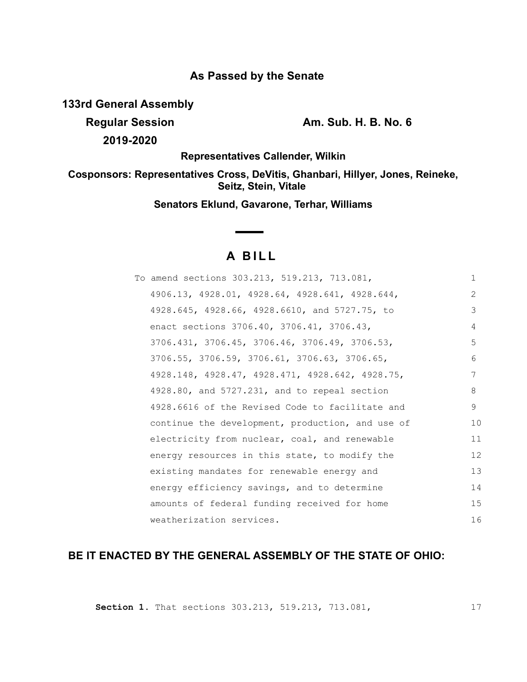# **As Passed by the Senate**

**133rd General Assembly**

**2019-2020**

**Regular Session Am. Sub. H. B. No. 6**

**Representatives Callender, Wilkin**

**Cosponsors: Representatives Cross, DeVitis, Ghanbari, Hillyer, Jones, Reineke, Seitz, Stein, Vitale** 

**Senators Eklund, Gavarone, Terhar, Williams**

# **A B I L L**

| To amend sections 303.213, 519.213, 713.081,     | $\mathbf{1}$  |
|--------------------------------------------------|---------------|
| 4906.13, 4928.01, 4928.64, 4928.641, 4928.644,   | $\mathcal{L}$ |
| 4928.645, 4928.66, 4928.6610, and 5727.75, to    | 3             |
| enact sections 3706.40, 3706.41, 3706.43,        | 4             |
| 3706.431, 3706.45, 3706.46, 3706.49, 3706.53,    | 5             |
| 3706.55, 3706.59, 3706.61, 3706.63, 3706.65,     | 6             |
| 4928.148, 4928.47, 4928.471, 4928.642, 4928.75,  | 7             |
| 4928.80, and 5727.231, and to repeal section     | 8             |
| 4928.6616 of the Revised Code to facilitate and  | 9             |
| continue the development, production, and use of | 10            |
| electricity from nuclear, coal, and renewable    | 11            |
| energy resources in this state, to modify the    | 12            |
| existing mandates for renewable energy and       | 13            |
| energy efficiency savings, and to determine      | 14            |
| amounts of federal funding received for home     | 15            |
| weatherization services.                         | 16            |

# **BE IT ENACTED BY THE GENERAL ASSEMBLY OF THE STATE OF OHIO:**

**Section 1.** That sections 303.213, 519.213, 713.081,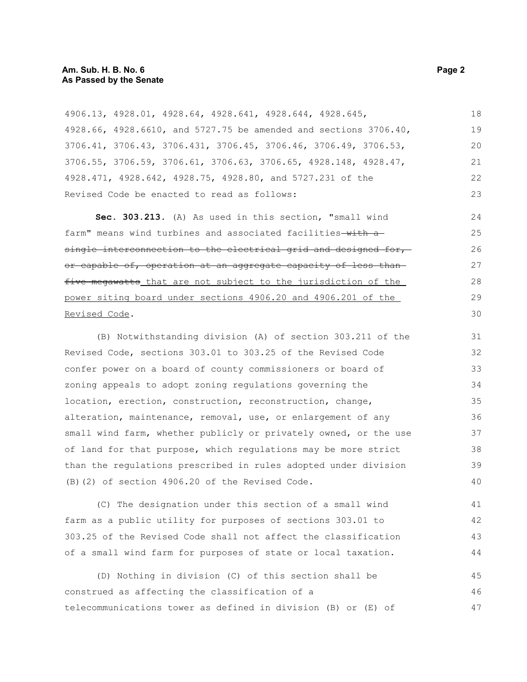#### **Am. Sub. H. B. No. 6 Page 2 As Passed by the Senate**

4906.13, 4928.01, 4928.64, 4928.641, 4928.644, 4928.645, 4928.66, 4928.6610, and 5727.75 be amended and sections 3706.40, 3706.41, 3706.43, 3706.431, 3706.45, 3706.46, 3706.49, 3706.53, 3706.55, 3706.59, 3706.61, 3706.63, 3706.65, 4928.148, 4928.47, 4928.471, 4928.642, 4928.75, 4928.80, and 5727.231 of the Revised Code be enacted to read as follows: 18 19 20 21 22 23

**Sec. 303.213.** (A) As used in this section, "small wind farm" means wind turbines and associated facilities-with asingle interconnection to the electrical grid and designed for, or capable of, operation at an aggregate capacity of less than five megawatts that are not subject to the jurisdiction of the power siting board under sections 4906.20 and 4906.201 of the Revised Code.

(B) Notwithstanding division (A) of section 303.211 of the Revised Code, sections 303.01 to 303.25 of the Revised Code confer power on a board of county commissioners or board of zoning appeals to adopt zoning regulations governing the location, erection, construction, reconstruction, change, alteration, maintenance, removal, use, or enlargement of any small wind farm, whether publicly or privately owned, or the use of land for that purpose, which regulations may be more strict than the regulations prescribed in rules adopted under division (B)(2) of section 4906.20 of the Revised Code. 31 32 33 34 35 36 37 38 39 40

(C) The designation under this section of a small wind farm as a public utility for purposes of sections 303.01 to 303.25 of the Revised Code shall not affect the classification of a small wind farm for purposes of state or local taxation. 41 42 43 44

(D) Nothing in division (C) of this section shall be construed as affecting the classification of a telecommunications tower as defined in division (B) or (E) of 45 46 47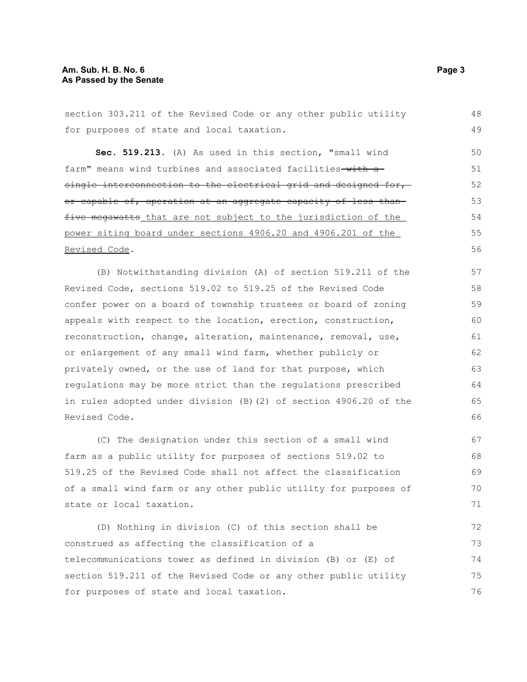#### **Am. Sub. H. B. No. 6 Page 3 As Passed by the Senate**

section 303.211 of the Revised Code or any other public utility for purposes of state and local taxation. **Sec. 519.213.** (A) As used in this section, "small wind farm" means wind turbines and associated facilities with a single interconnection to the electrical grid and designed for, or capable of, operation at an aggregate capacity of less than five megawatts that are not subject to the jurisdiction of the power siting board under sections 4906.20 and 4906.201 of the Revised Code. (B) Notwithstanding division (A) of section 519.211 of the Revised Code, sections 519.02 to 519.25 of the Revised Code confer power on a board of township trustees or board of zoning appeals with respect to the location, erection, construction, reconstruction, change, alteration, maintenance, removal, use, or enlargement of any small wind farm, whether publicly or privately owned, or the use of land for that purpose, which regulations may be more strict than the regulations prescribed in rules adopted under division (B)(2) of section 4906.20 of the Revised Code. (C) The designation under this section of a small wind farm as a public utility for purposes of sections 519.02 to 519.25 of the Revised Code shall not affect the classification of a small wind farm or any other public utility for purposes of state or local taxation. (D) Nothing in division (C) of this section shall be construed as affecting the classification of a 48 49 50 51 52 53 54 55 56 57 58 59 60 61 62 63 64 65 66 67 68 69 70 71 72 73

telecommunications tower as defined in division (B) or (E) of section 519.211 of the Revised Code or any other public utility for purposes of state and local taxation. 74 75 76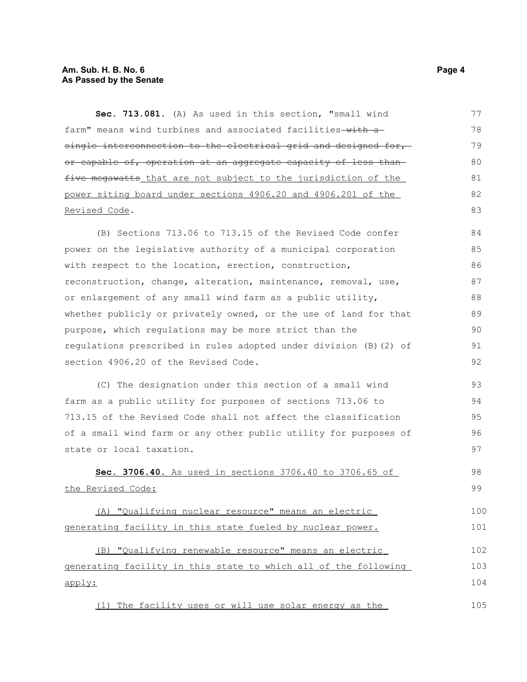#### **Am. Sub. H. B. No. 6 Page 4 As Passed by the Senate**

**Sec. 713.081.** (A) As used in this section, "small wind farm" means wind turbines and associated facilities-with asingle interconnection to the electrical grid and designed for,or capable of, operation at an aggregate capacity of less than five megawatts that are not subject to the jurisdiction of the power siting board under sections 4906.20 and 4906.201 of the Revised Code. 77 78 79 80 81 82 83

(B) Sections 713.06 to 713.15 of the Revised Code confer power on the legislative authority of a municipal corporation with respect to the location, erection, construction, reconstruction, change, alteration, maintenance, removal, use, or enlargement of any small wind farm as a public utility, whether publicly or privately owned, or the use of land for that purpose, which regulations may be more strict than the regulations prescribed in rules adopted under division (B)(2) of section 4906.20 of the Revised Code. 84 85 86 87 88 89 90 91 92

(C) The designation under this section of a small wind farm as a public utility for purposes of sections 713.06 to 713.15 of the Revised Code shall not affect the classification of a small wind farm or any other public utility for purposes of state or local taxation. 93 94 95 96 97

 **Sec. 3706.40.** As used in sections 3706.40 to 3706.65 of the Revised Code: 98 99

(A) "Qualifying nuclear resource" means an electric generating facility in this state fueled by nuclear power. 100 101

 (B) "Qualifying renewable resource" means an electric generating facility in this state to which all of the following apply: 102 103 104

(1) The facility uses or will use solar energy as the 105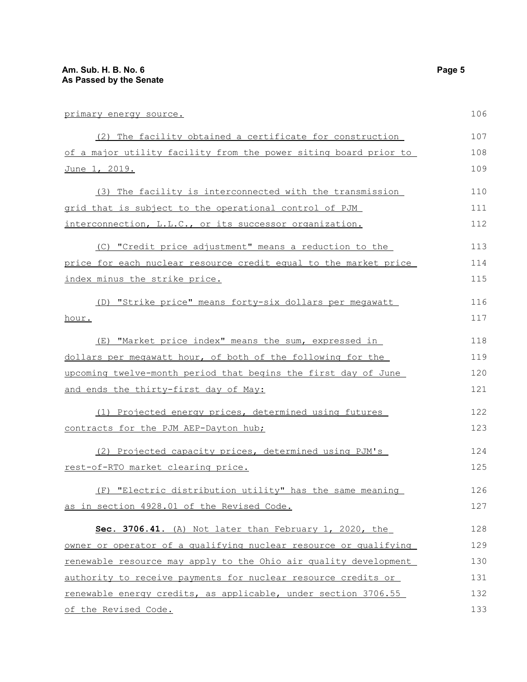| primary energy source.                                           | 106 |
|------------------------------------------------------------------|-----|
| (2) The facility obtained a certificate for construction         | 107 |
| of a major utility facility from the power siting board prior to | 108 |
| <u>June 1, 2019.</u>                                             | 109 |
| (3) The facility is interconnected with the transmission         | 110 |
| grid that is subject to the operational control of PJM           | 111 |
| interconnection, L.L.C., or its successor organization.          | 112 |
| (C) "Credit price adjustment" means a reduction to the           | 113 |
| price for each nuclear resource credit equal to the market price | 114 |
| index minus the strike price.                                    | 115 |
| (D) "Strike price" means forty-six dollars per megawatt          | 116 |
| hour.                                                            | 117 |
| (E) "Market price index" means the sum, expressed in             | 118 |
| dollars per meqawatt hour, of both of the following for the      | 119 |
| upcoming twelve-month period that begins the first day of June   | 120 |
| and ends the thirty-first day of May:                            | 121 |
| (1) Projected energy prices, determined using futures            | 122 |
| contracts for the PJM AEP-Dayton hub;                            | 123 |
| (2) Projected capacity prices, determined using PJM's            | 124 |
| rest-of-RTO market clearing price.                               | 125 |
| (F) "Electric distribution utility" has the same meaning         | 126 |
| as in section 4928.01 of the Revised Code.                       | 127 |
| Sec. 3706.41. (A) Not later than February 1, 2020, the           | 128 |
| owner or operator of a qualifying nuclear resource or qualifying | 129 |
| renewable resource may apply to the Ohio air quality development | 130 |
| authority to receive payments for nuclear resource credits or    | 131 |
| renewable energy credits, as applicable, under section 3706.55   | 132 |
| of the Revised Code.                                             | 133 |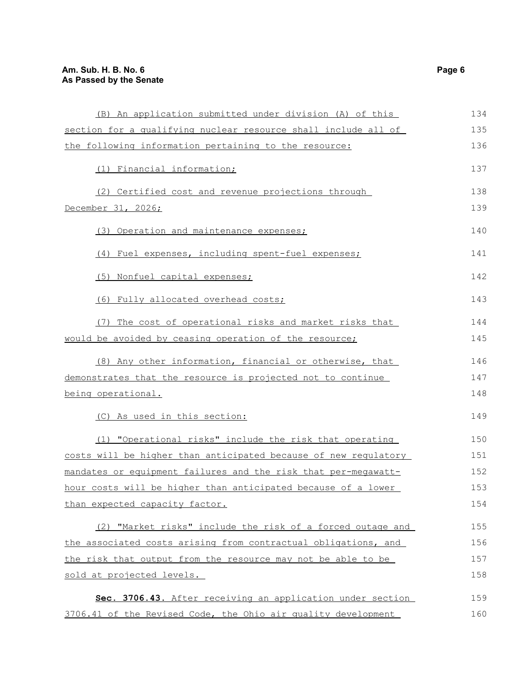| (B) An application submitted under division (A) of this         | 134 |
|-----------------------------------------------------------------|-----|
| section for a qualifying nuclear resource shall include all of  | 135 |
| the following information pertaining to the resource:           | 136 |
| (1) Financial information;                                      | 137 |
| (2) Certified cost and revenue projections through              | 138 |
| December 31, 2026;                                              | 139 |
| (3) Operation and maintenance expenses;                         | 140 |
| (4) Fuel expenses, including spent-fuel expenses;               | 141 |
| (5) Nonfuel capital expenses;                                   | 142 |
| (6) Fully allocated overhead costs;                             | 143 |
| (7) The cost of operational risks and market risks that         | 144 |
| would be avoided by ceasing operation of the resource;          | 145 |
| (8) Any other information, financial or otherwise, that         | 146 |
| demonstrates that the resource is projected not to continue     | 147 |
| being operational.                                              | 148 |
| (C) As used in this section:                                    | 149 |
| (1) "Operational risks" include the risk that operating         | 150 |
| costs will be higher than anticipated because of new regulatory | 151 |
| mandates or equipment failures and the risk that per-meqawatt-  | 152 |
| hour costs will be higher than anticipated because of a lower   | 153 |
| than expected capacity factor.                                  | 154 |
| (2) "Market risks" include the risk of a forced outage and      | 155 |
| the associated costs arising from contractual obligations, and  | 156 |
| the risk that output from the resource may not be able to be    | 157 |
| sold at projected levels.                                       | 158 |
| Sec. 3706.43. After receiving an application under section      | 159 |
| 3706.41 of the Revised Code, the Ohio air quality development   | 160 |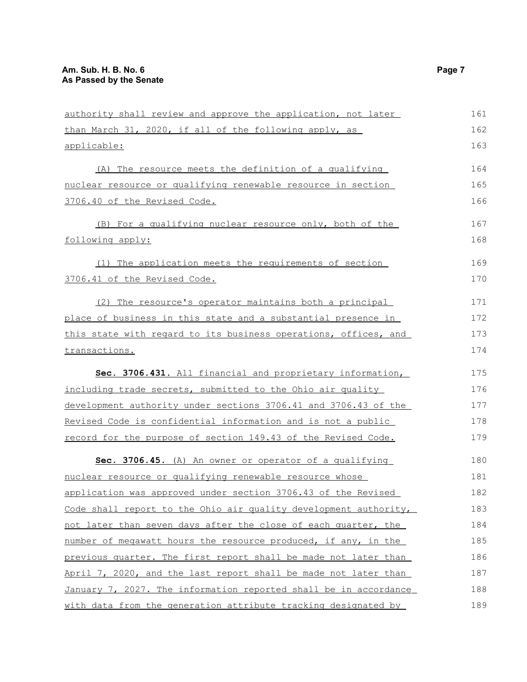| authority shall review and approve the application, not later    | 161 |
|------------------------------------------------------------------|-----|
| than March 31, 2020, if all of the following apply, as           | 162 |
| applicable:                                                      | 163 |
| (A) The resource meets the definition of a qualifying            | 164 |
| nuclear resource or qualifying renewable resource in section     | 165 |
| 3706.40 of the Revised Code.                                     | 166 |
| (B) For a qualifying nuclear resource only, both of the          | 167 |
| following apply:                                                 | 168 |
| (1) The application meets the requirements of section            | 169 |
| 3706.41 of the Revised Code.                                     | 170 |
| (2) The resource's operator maintains both a principal           | 171 |
| place of business in this state and a substantial presence in    | 172 |
| this state with regard to its business operations, offices, and  | 173 |
| transactions.                                                    | 174 |
| Sec. 3706.431. All financial and proprietary information,        | 175 |
| including trade secrets, submitted to the Ohio air quality       | 176 |
| development authority under sections 3706.41 and 3706.43 of the  | 177 |
| Revised Code is confidential information and is not a public     | 178 |
| record for the purpose of section 149.43 of the Revised Code.    | 179 |
| Sec. 3706.45. (A) An owner or operator of a qualifying           | 180 |
| nuclear resource or qualifying renewable resource whose          | 181 |
| application was approved under section 3706.43 of the Revised    | 182 |
| Code shall report to the Ohio air quality development authority, | 183 |
| not later than seven days after the close of each quarter, the   | 184 |
| number of megawatt hours the resource produced, if any, in the   | 185 |
| previous quarter. The first report shall be made not later than  | 186 |
| April 7, 2020, and the last report shall be made not later than  | 187 |
| January 7, 2027. The information reported shall be in accordance | 188 |
| with data from the generation attribute tracking designated by   | 189 |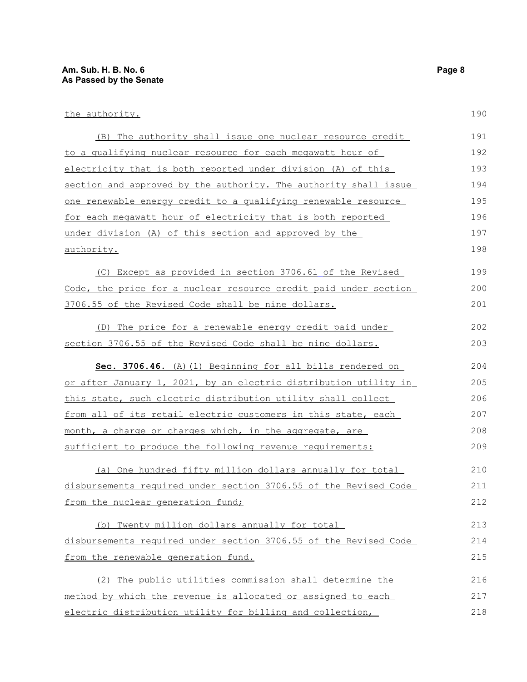| (B) The authority shall issue one nuclear resource credit        | 191 |
|------------------------------------------------------------------|-----|
| to a qualifying nuclear resource for each megawatt hour of       | 192 |
| electricity that is both reported under division (A) of this     | 193 |
| section and approved by the authority. The authority shall issue | 194 |
| one renewable energy credit to a qualifying renewable resource   | 195 |
| for each megawatt hour of electricity that is both reported      | 196 |
| under division (A) of this section and approved by the           | 197 |
| authority.                                                       | 198 |
| (C) Except as provided in section 3706.61 of the Revised         | 199 |
| Code, the price for a nuclear resource credit paid under section | 200 |
| 3706.55 of the Revised Code shall be nine dollars.               | 201 |
| (D) The price for a renewable energy credit paid under           | 202 |
| section 3706.55 of the Revised Code shall be nine dollars.       | 203 |
| Sec. 3706.46. (A) (1) Beginning for all bills rendered on        | 204 |
| or after January 1, 2021, by an electric distribution utility in | 205 |
| this state, such electric distribution utility shall collect     | 206 |
| from all of its retail electric customers in this state, each    | 207 |
| month, a charge or charges which, in the aggregate, are          | 208 |
| sufficient to produce the following revenue requirements:        | 209 |
| (a) One hundred fifty million dollars annually for total         | 210 |
| disbursements required under section 3706.55 of the Revised Code | 211 |
| from the nuclear generation fund;                                | 212 |
| (b) Twenty million dollars annually for total                    | 213 |
| disbursements required under section 3706.55 of the Revised Code | 214 |
| from the renewable generation fund.                              | 215 |
|                                                                  |     |

(2) The public utilities commission shall determine the method by which the revenue is allocated or assigned to each electric distribution utility for billing and collection, 216 217 218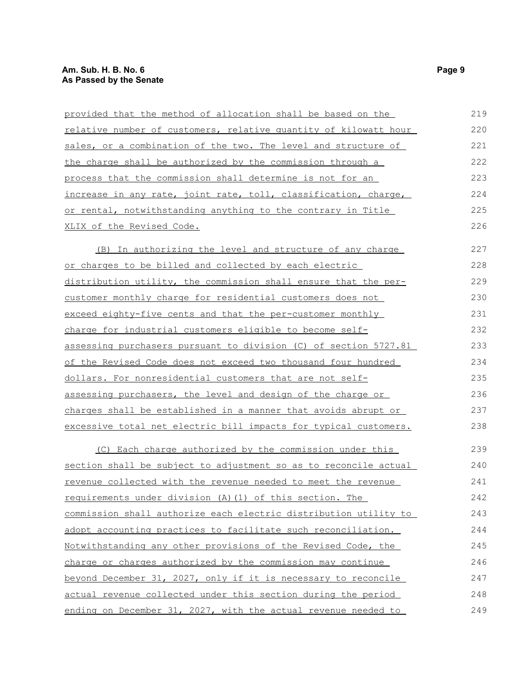| provided that the method of allocation shall be based on the         | 219 |
|----------------------------------------------------------------------|-----|
| relative number of customers, relative quantity of kilowatt hour     | 220 |
| sales, or a combination of the two. The level and structure of       | 221 |
| the charge shall be authorized by the commission through a           | 222 |
| process that the commission shall determine is not for an            | 223 |
| increase in any rate, joint rate, toll, classification, charge,      | 224 |
| or rental, notwithstanding anything to the contrary in Title         | 225 |
| XLIX of the Revised Code.                                            | 226 |
| <u>(B) In authorizing the level and structure of any charge</u>      | 227 |
| or charges to be billed and collected by each electric               | 228 |
| distribution utility, the commission shall ensure that the per-      | 229 |
| customer monthly charge for residential customers does not           | 230 |
| exceed eighty-five cents and that the per-customer monthly           | 231 |
| charge for industrial customers eligible to become self-             | 232 |
| assessing purchasers pursuant to division (C) of section 5727.81     | 233 |
| of the Revised Code does not exceed two thousand four hundred        | 234 |
| dollars. For nonresidential customers that are not self-             | 235 |
| assessing purchasers, the level and design of the charge or          | 236 |
| charges shall be established in a manner that avoids abrupt or       | 237 |
| excessive total net electric bill impacts for typical customers.     | 238 |
| (C) Each charge authorized by the commission under this              | 239 |
| section shall be subject to adjustment so as to reconcile actual     | 240 |
| <u>revenue collected with the revenue needed to meet the revenue</u> | 241 |
| requirements under division (A) (1) of this section. The             | 242 |
| commission shall authorize each electric distribution utility to     | 243 |
| adopt accounting practices to facilitate such reconciliation.        | 244 |
| Notwithstanding any other provisions of the Revised Code, the        | 245 |
| charge or charges authorized by the commission may continue          | 246 |
| beyond December 31, 2027, only if it is necessary to reconcile       | 247 |
| actual revenue collected under this section during the period        | 248 |
| ending on December 31, 2027, with the actual revenue needed to       | 249 |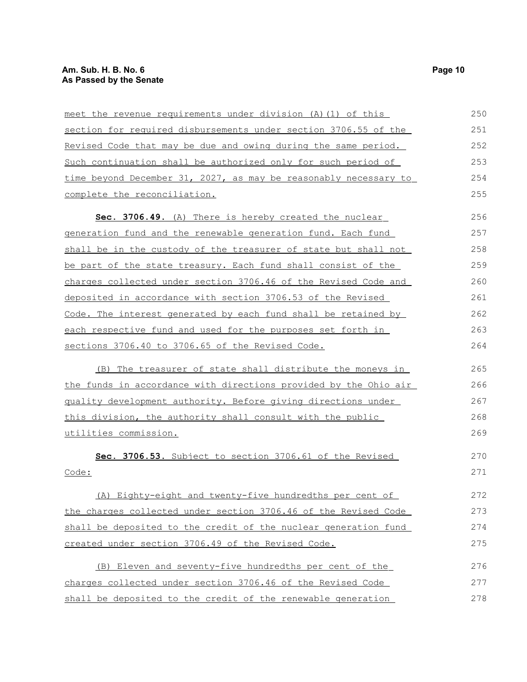| meet the revenue requirements under division (A) (1) of this     | 250 |
|------------------------------------------------------------------|-----|
| section for required disbursements under section 3706.55 of the  | 251 |
| Revised Code that may be due and owing during the same period.   | 252 |
| Such continuation shall be authorized only for such period of    | 253 |
| time beyond December 31, 2027, as may be reasonably necessary to | 254 |
| complete the reconciliation.                                     | 255 |
| Sec. 3706.49. (A) There is hereby created the nuclear            | 256 |
| generation fund and the renewable generation fund. Each fund     | 257 |
| shall be in the custody of the treasurer of state but shall not  | 258 |
| be part of the state treasury. Each fund shall consist of the    | 259 |
| charges collected under section 3706.46 of the Revised Code and  | 260 |
| deposited in accordance with section 3706.53 of the Revised      | 261 |
| Code. The interest generated by each fund shall be retained by   | 262 |
| each respective fund and used for the purposes set forth in      | 263 |
| sections 3706.40 to 3706.65 of the Revised Code.                 | 264 |
| (B) The treasurer of state shall distribute the moneys in        | 265 |
| the funds in accordance with directions provided by the Ohio air | 266 |
| quality development authority. Before giving directions under    | 267 |
| this division, the authority shall consult with the public       | 268 |
| utilities commission.                                            | 269 |
| Sec. 3706.53. Subject to section 3706.61 of the Revised          | 270 |
| Code:                                                            | 271 |
| Eighty-eight and twenty-five hundredths per cent of<br>(A)       | 272 |
| the charges collected under section 3706.46 of the Revised Code  | 273 |
| shall be deposited to the credit of the nuclear generation fund  | 274 |
| created under section 3706.49 of the Revised Code.               | 275 |
| (B) Eleven and seventy-five hundredths per cent of the           | 276 |
| charges collected under section 3706.46 of the Revised Code      | 277 |
| shall be deposited to the credit of the renewable generation     | 278 |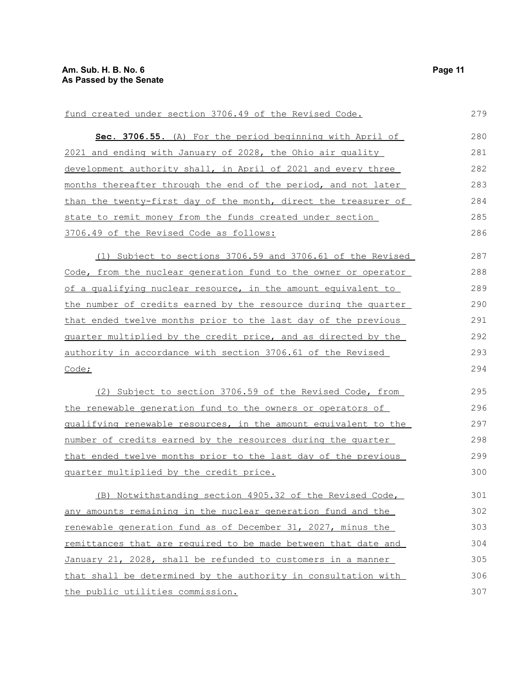| fund created under section 3706.49 of the Revised Code.            | 279 |
|--------------------------------------------------------------------|-----|
| Sec. 3706.55. (A) For the period beginning with April of           | 280 |
| 2021 and ending with January of 2028, the Ohio air quality         | 281 |
| development authority shall, in April of 2021 and every three      | 282 |
| months thereafter through the end of the period, and not later     | 283 |
| than the twenty-first day of the month, direct the treasurer of    | 284 |
| state to remit money from the funds created under section          | 285 |
| 3706.49 of the Revised Code as follows:                            | 286 |
| (1) Subject to sections 3706.59 and 3706.61 of the Revised         | 287 |
| Code, from the nuclear generation fund to the owner or operator    | 288 |
| of a qualifying nuclear resource, in the amount equivalent to      | 289 |
| the number of credits earned by the resource during the quarter    | 290 |
| that ended twelve months prior to the last day of the previous     | 291 |
| guarter multiplied by the credit price, and as directed by the     | 292 |
| <u>authority in accordance with section 3706.61 of the Revised</u> | 293 |
| Code;                                                              | 294 |
| (2) Subject to section 3706.59 of the Revised Code, from           | 295 |
| the renewable generation fund to the owners or operators of        | 296 |
| qualifying renewable resources, in the amount equivalent to the    | 297 |
| number of credits earned by the resources during the quarter       | 298 |
| that ended twelve months prior to the last day of the previous     | 299 |
| quarter multiplied by the credit price.                            | 300 |
| (B) Notwithstanding section 4905.32 of the Revised Code,           | 301 |
| any amounts remaining in the nuclear generation fund and the       | 302 |
| renewable generation fund as of December 31, 2027, minus the       | 303 |
| remittances that are required to be made between that date and     | 304 |
| January 21, 2028, shall be refunded to customers in a manner       | 305 |
| that shall be determined by the authority in consultation with     | 306 |
| the public utilities commission.                                   | 307 |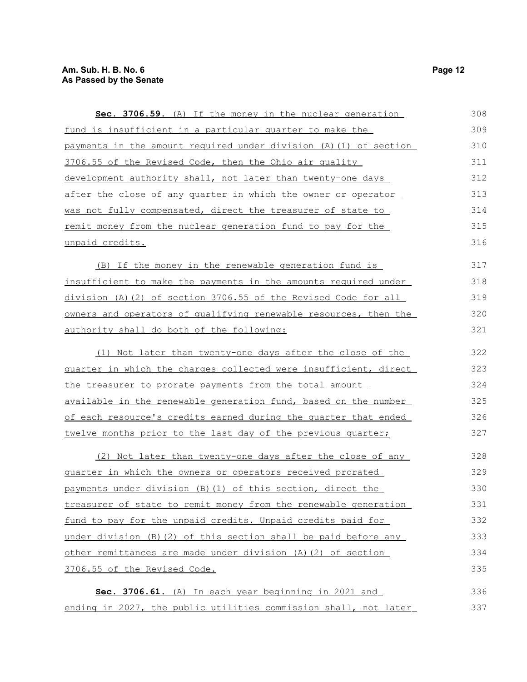| Sec. 3706.59. (A) If the money in the nuclear generation                | 308 |
|-------------------------------------------------------------------------|-----|
| fund is insufficient in a particular quarter to make the                | 309 |
| payments in the amount required under division (A) (1) of section       | 310 |
| 3706.55 of the Revised Code, then the Ohio air quality                  | 311 |
| development authority shall, not later than twenty-one days             | 312 |
| after the close of any quarter in which the owner or operator           | 313 |
| was not fully compensated, direct the treasurer of state to             | 314 |
| remit money from the nuclear generation fund to pay for the             | 315 |
| unpaid credits.                                                         | 316 |
| (B) If the money in the renewable generation fund is                    | 317 |
| insufficient to make the payments in the amounts required under         | 318 |
| division (A)(2) of section 3706.55 of the Revised Code for all          | 319 |
| owners and operators of qualifying renewable resources, then the        | 320 |
| authority shall do both of the following:                               | 321 |
| (1) Not later than twenty-one days after the close of the               | 322 |
| <u>quarter in which the charges collected were insufficient, direct</u> | 323 |
| the treasurer to prorate payments from the total amount                 | 324 |
| available in the renewable generation fund, based on the number         | 325 |
| of each resource's credits earned during the quarter that ended         | 326 |
| twelve months prior to the last day of the previous quarter;            | 327 |
| (2) Not later than twenty-one days after the close of any               | 328 |
| quarter in which the owners or operators received prorated              | 329 |
| payments under division (B) (1) of this section, direct the             | 330 |
| treasurer of state to remit money from the renewable generation         | 331 |
| fund to pay for the unpaid credits. Unpaid credits paid for             | 332 |
| under division $(B)$ $(2)$ of this section shall be paid before any     | 333 |
| other remittances are made under division (A) (2) of section            | 334 |
| 3706.55 of the Revised Code.                                            | 335 |
| Sec. 3706.61. (A) In each year beginning in 2021 and                    | 336 |
| ending in 2027, the public utilities commission shall, not later        | 337 |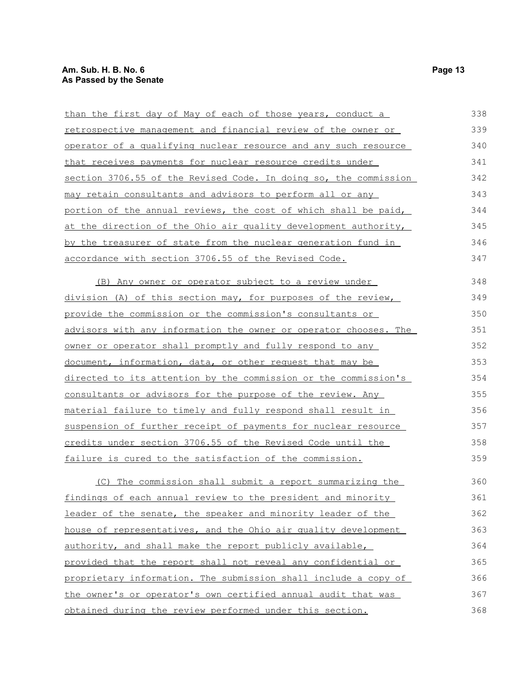| than the first day of May of each of those years, conduct a          | 338 |
|----------------------------------------------------------------------|-----|
| <u>retrospective management and financial review of the owner or</u> | 339 |
| operator of a qualifying nuclear resource and any such resource      | 340 |
| that receives payments for nuclear resource credits under            | 341 |
| section 3706.55 of the Revised Code. In doing so, the commission     | 342 |
| may retain consultants and advisors to perform all or any            | 343 |
| portion of the annual reviews, the cost of which shall be paid,      | 344 |
| at the direction of the Ohio air quality development authority,      | 345 |
| by the treasurer of state from the nuclear generation fund in        | 346 |
| accordance with section 3706.55 of the Revised Code.                 | 347 |
| (B) Any owner or operator subject to a review under                  | 348 |
| division (A) of this section may, for purposes of the review,        | 349 |
| provide the commission or the commission's consultants or            | 350 |
| advisors with any information the owner or operator chooses. The     | 351 |
| owner or operator shall promptly and fully respond to any            | 352 |
| document, information, data, or other request that may be            | 353 |
| directed to its attention by the commission or the commission's      | 354 |
| consultants or advisors for the purpose of the review. Any           | 355 |
| material failure to timely and fully respond shall result in         | 356 |
| suspension of further receipt of payments for nuclear resource       | 357 |
| credits under section 3706.55 of the Revised Code until the          | 358 |
| failure is cured to the satisfaction of the commission.              | 359 |

(C) The commission shall submit a report summarizing the findings of each annual review to the president and minority leader of the senate, the speaker and minority leader of the house of representatives, and the Ohio air quality development authority, and shall make the report publicly available, provided that the report shall not reveal any confidential or proprietary information. The submission shall include a copy of the owner's or operator's own certified annual audit that was obtained during the review performed under this section. 360 361 362 363 364 365 366 367 368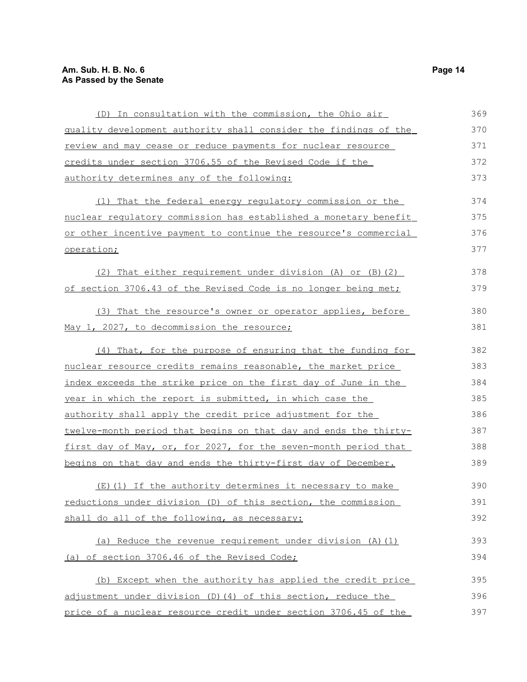| (D) In consultation with the commission, the Ohio air            | 369 |
|------------------------------------------------------------------|-----|
| quality development authority shall consider the findings of the | 370 |
| review and may cease or reduce payments for nuclear resource     | 371 |
| credits under section 3706.55 of the Revised Code if the         | 372 |
| <u>authority determines any of the following:</u>                | 373 |
| (1) That the federal energy regulatory commission or the         | 374 |
| nuclear regulatory commission has established a monetary benefit | 375 |
| or other incentive payment to continue the resource's commercial | 376 |
| operation;                                                       | 377 |
| That either requirement under division (A) or (B) (2)<br>(2)     | 378 |
| of section 3706.43 of the Revised Code is no longer being met;   | 379 |
| (3) That the resource's owner or operator applies, before        | 380 |
| May 1, 2027, to decommission the resource;                       | 381 |
| (4) That, for the purpose of ensuring that the funding for       | 382 |
| nuclear resource credits remains reasonable, the market price    | 383 |
| index exceeds the strike price on the first day of June in the   | 384 |
| year in which the report is submitted, in which case the         | 385 |
| authority shall apply the credit price adjustment for the        | 386 |
| twelve-month period that begins on that day and ends the thirty- | 387 |
| first day of May, or, for 2027, for the seven-month period that  | 388 |
| begins on that day and ends the thirty-first day of December.    | 389 |
| (E)(1) If the authority determines it necessary to make          | 390 |
| reductions under division (D) of this section, the commission    | 391 |
| shall do all of the following, as necessary:                     | 392 |
| (a) Reduce the revenue requirement under division (A) (1)        | 393 |
| (a) of section 3706.46 of the Revised Code;                      | 394 |
| (b) Except when the authority has applied the credit price       | 395 |
| adjustment under division (D) (4) of this section, reduce the    | 396 |
| price of a nuclear resource credit under section 3706.45 of the  | 397 |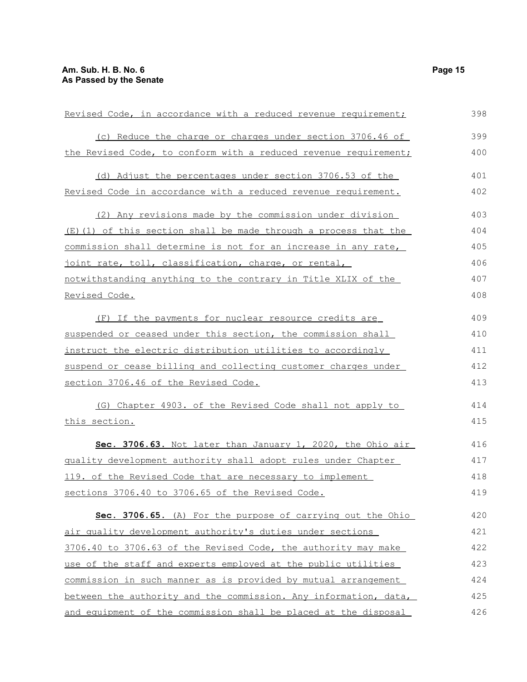| Revised Code, in accordance with a reduced revenue requirement;  | 398 |
|------------------------------------------------------------------|-----|
| (c) Reduce the charge or charges under section 3706.46 of        | 399 |
| the Revised Code, to conform with a reduced revenue requirement; | 400 |
| (d) Adjust the percentages under section 3706.53 of the          | 401 |
| Revised Code in accordance with a reduced revenue requirement.   | 402 |
| (2) Any revisions made by the commission under division          | 403 |
| (E) (1) of this section shall be made through a process that the | 404 |
| commission shall determine is not for an increase in any rate,   | 405 |
| joint rate, toll, classification, charge, or rental,             | 406 |
| notwithstanding anything to the contrary in Title XLIX of the    | 407 |
| Revised Code.                                                    | 408 |
| (F) If the payments for nuclear resource credits are             | 409 |
| suspended or ceased under this section, the commission shall     | 410 |
| instruct the electric distribution utilities to accordingly      | 411 |
| suspend or cease billing and collecting customer charges under   | 412 |
| section 3706.46 of the Revised Code.                             | 413 |
| (G) Chapter 4903. of the Revised Code shall not apply to         | 414 |
| this section.                                                    | 415 |
| Sec. 3706.63. Not later than January 1, 2020, the Ohio air       | 416 |
| quality development authority shall adopt rules under Chapter    | 417 |
| 119. of the Revised Code that are necessary to implement         | 418 |
| sections 3706.40 to 3706.65 of the Revised Code.                 | 419 |
| Sec. 3706.65. (A) For the purpose of carrying out the Ohio       | 420 |
| air quality development authority's duties under sections        | 421 |
| 3706.40 to 3706.63 of the Revised Code, the authority may make   | 422 |
| use of the staff and experts employed at the public utilities    | 423 |
| commission in such manner as is provided by mutual arrangement   | 424 |
| between the authority and the commission. Any information, data, | 425 |
| and equipment of the commission shall be placed at the disposal  | 426 |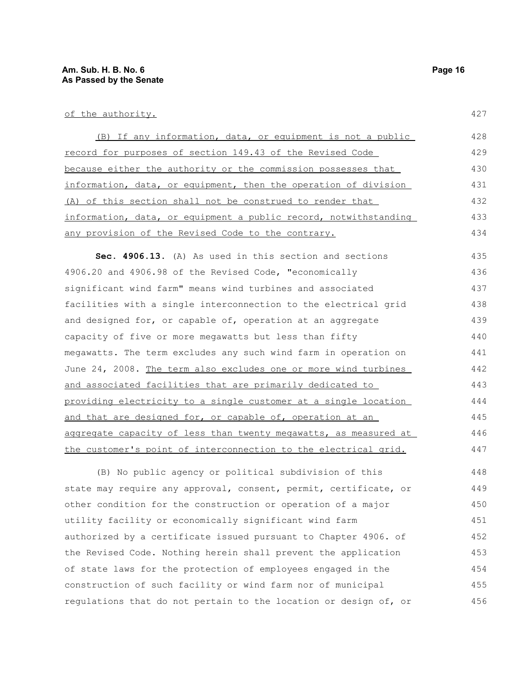| (B) If any information, data, or equipment is not a public       | 428 |
|------------------------------------------------------------------|-----|
| record for purposes of section 149.43 of the Revised Code        | 429 |
| because either the authority or the commission possesses that    | 430 |
| information, data, or equipment, then the operation of division  | 431 |
| (A) of this section shall not be construed to render that        | 432 |
| information, data, or equipment a public record, notwithstanding | 433 |
| any provision of the Revised Code to the contrary.               | 434 |
| Sec. 4906.13. (A) As used in this section and sections           | 435 |
| 4906.20 and 4906.98 of the Revised Code, "economically           | 436 |
| significant wind farm" means wind turbines and associated        | 437 |
| facilities with a single interconnection to the electrical grid  | 438 |
| and designed for, or capable of, operation at an aggregate       | 439 |
| capacity of five or more megawatts but less than fifty           | 440 |
| megawatts. The term excludes any such wind farm in operation on  | 441 |
| June 24, 2008. The term also excludes one or more wind turbines  | 442 |
| and associated facilities that are primarily dedicated to        | 443 |
| providing electricity to a single customer at a single location  | 444 |
| and that are designed for, or capable of, operation at an        | 445 |
| aggregate capacity of less than twenty megawatts, as measured at | 446 |
| the customer's point of interconnection to the electrical grid.  | 447 |
| (B) No public agency or political subdivision of this            | 448 |
| state may require any approval, consent, permit, certificate, or | 449 |
| other condition for the construction or operation of a major     | 450 |
| utility facility or economically significant wind farm           | 451 |
| authorized by a certificate issued pursuant to Chapter 4906. of  | 452 |
| the Revised Code. Nothing herein shall prevent the application   | 453 |
| of state laws for the protection of employees engaged in the     | 454 |
| construction of such facility or wind farm nor of municipal      | 455 |

regulations that do not pertain to the location or design of, or 456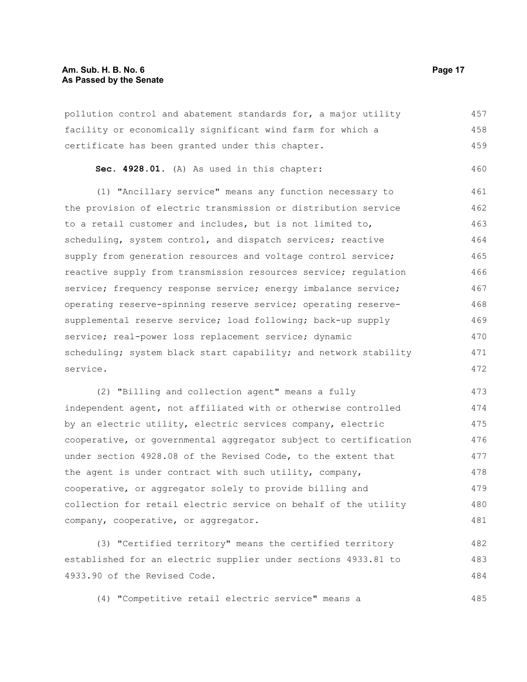pollution control and abatement standards for, a major utility facility or economically significant wind farm for which a certificate has been granted under this chapter. 457 458 459

**Sec. 4928.01.** (A) As used in this chapter: 460

(1) "Ancillary service" means any function necessary to the provision of electric transmission or distribution service to a retail customer and includes, but is not limited to, scheduling, system control, and dispatch services; reactive supply from generation resources and voltage control service; reactive supply from transmission resources service; regulation service; frequency response service; energy imbalance service; operating reserve-spinning reserve service; operating reservesupplemental reserve service; load following; back-up supply service; real-power loss replacement service; dynamic scheduling; system black start capability; and network stability service. 461 462 463 464 465 466 467 468 469 470 471 472

(2) "Billing and collection agent" means a fully independent agent, not affiliated with or otherwise controlled by an electric utility, electric services company, electric cooperative, or governmental aggregator subject to certification under section 4928.08 of the Revised Code, to the extent that the agent is under contract with such utility, company, cooperative, or aggregator solely to provide billing and collection for retail electric service on behalf of the utility company, cooperative, or aggregator. 473 474 475 476 477 478 479 480 481

(3) "Certified territory" means the certified territory established for an electric supplier under sections 4933.81 to 4933.90 of the Revised Code. 482 483 484

(4) "Competitive retail electric service" means a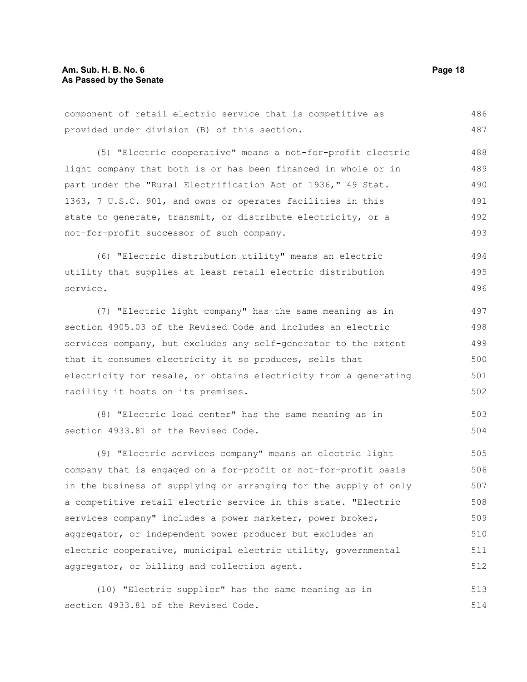component of retail electric service that is competitive as provided under division (B) of this section. 486 487

(5) "Electric cooperative" means a not-for-profit electric light company that both is or has been financed in whole or in part under the "Rural Electrification Act of 1936," 49 Stat. 1363, 7 U.S.C. 901, and owns or operates facilities in this state to generate, transmit, or distribute electricity, or a not-for-profit successor of such company. 488 489 490 491 492 493

(6) "Electric distribution utility" means an electric utility that supplies at least retail electric distribution service. 494 495 496

(7) "Electric light company" has the same meaning as in section 4905.03 of the Revised Code and includes an electric services company, but excludes any self-generator to the extent that it consumes electricity it so produces, sells that electricity for resale, or obtains electricity from a generating facility it hosts on its premises. 497 498 499 500 501 502

(8) "Electric load center" has the same meaning as in section 4933.81 of the Revised Code. 503 504

(9) "Electric services company" means an electric light company that is engaged on a for-profit or not-for-profit basis in the business of supplying or arranging for the supply of only a competitive retail electric service in this state. "Electric services company" includes a power marketer, power broker, aggregator, or independent power producer but excludes an electric cooperative, municipal electric utility, governmental aggregator, or billing and collection agent. 505 506 507 508 509 510 511 512

(10) "Electric supplier" has the same meaning as in section 4933.81 of the Revised Code. 513 514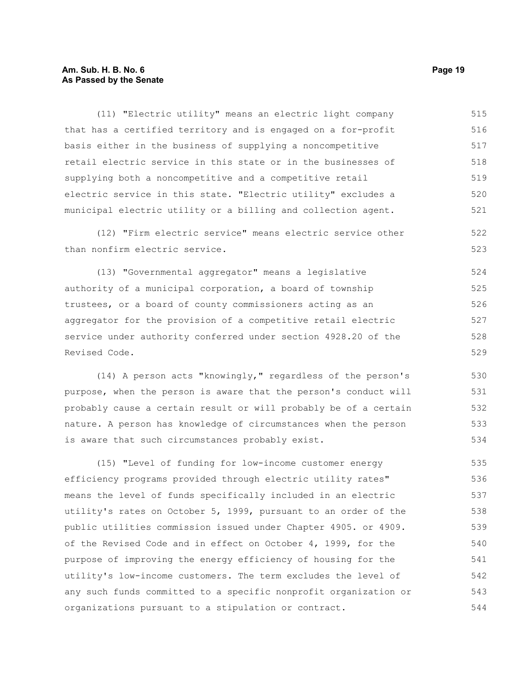### **Am. Sub. H. B. No. 6 Page 19 As Passed by the Senate**

(11) "Electric utility" means an electric light company that has a certified territory and is engaged on a for-profit basis either in the business of supplying a noncompetitive retail electric service in this state or in the businesses of supplying both a noncompetitive and a competitive retail electric service in this state. "Electric utility" excludes a municipal electric utility or a billing and collection agent. 515 516 517 518 519 520 521

(12) "Firm electric service" means electric service other than nonfirm electric service. 522 523

(13) "Governmental aggregator" means a legislative authority of a municipal corporation, a board of township trustees, or a board of county commissioners acting as an aggregator for the provision of a competitive retail electric service under authority conferred under section 4928.20 of the Revised Code. 524 525 526 527 528 529

(14) A person acts "knowingly," regardless of the person's purpose, when the person is aware that the person's conduct will probably cause a certain result or will probably be of a certain nature. A person has knowledge of circumstances when the person is aware that such circumstances probably exist. 530 531 532 533 534

(15) "Level of funding for low-income customer energy efficiency programs provided through electric utility rates" means the level of funds specifically included in an electric utility's rates on October 5, 1999, pursuant to an order of the public utilities commission issued under Chapter 4905. or 4909. of the Revised Code and in effect on October 4, 1999, for the purpose of improving the energy efficiency of housing for the utility's low-income customers. The term excludes the level of any such funds committed to a specific nonprofit organization or organizations pursuant to a stipulation or contract. 535 536 537 538 539 540 541 542 543 544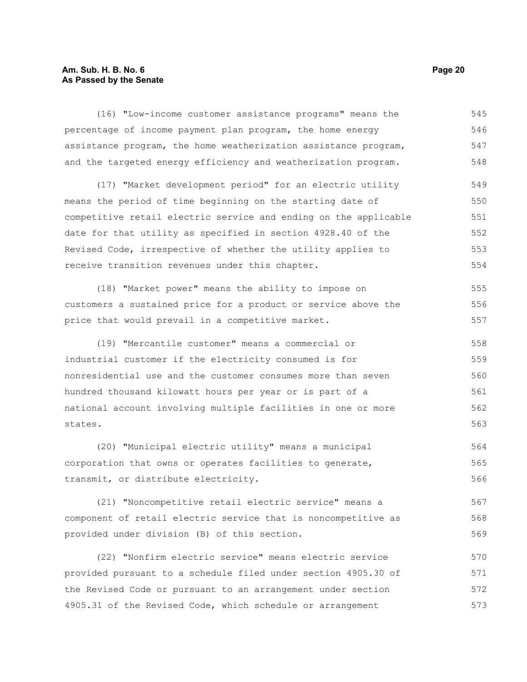# **Am. Sub. H. B. No. 6 Page 20 As Passed by the Senate**

| (16) "Low-income customer assistance programs" means the         | 545 |
|------------------------------------------------------------------|-----|
| percentage of income payment plan program, the home energy       | 546 |
| assistance program, the home weatherization assistance program,  | 547 |
| and the targeted energy efficiency and weatherization program.   | 548 |
| (17) "Market development period" for an electric utility         | 549 |
| means the period of time beginning on the starting date of       | 550 |
| competitive retail electric service and ending on the applicable | 551 |
| date for that utility as specified in section 4928.40 of the     | 552 |
| Revised Code, irrespective of whether the utility applies to     | 553 |
| receive transition revenues under this chapter.                  | 554 |
| (18) "Market power" means the ability to impose on               | 555 |
| customers a sustained price for a product or service above the   | 556 |
| price that would prevail in a competitive market.                | 557 |
| (19) "Mercantile customer" means a commercial or                 | 558 |
| industrial customer if the electricity consumed is for           | 559 |
| nonresidential use and the customer consumes more than seven     | 560 |
| hundred thousand kilowatt hours per year or is part of a         | 561 |
| national account involving multiple facilities in one or more    | 562 |
| states.                                                          | 563 |
| (20) "Municipal electric utility" means a municipal              | 564 |
| corporation that owns or operates facilities to generate,        | 565 |
| transmit, or distribute electricity.                             | 566 |
| (21) "Noncompetitive retail electric service" means a            | 567 |
| component of retail electric service that is noncompetitive as   | 568 |
| provided under division (B) of this section.                     | 569 |
| (22) "Nonfirm electric service" means electric service           | 570 |
| provided pursuant to a schedule filed under section 4905.30 of   | 571 |
| the Revised Code or pursuant to an arrangement under section     | 572 |

4905.31 of the Revised Code, which schedule or arrangement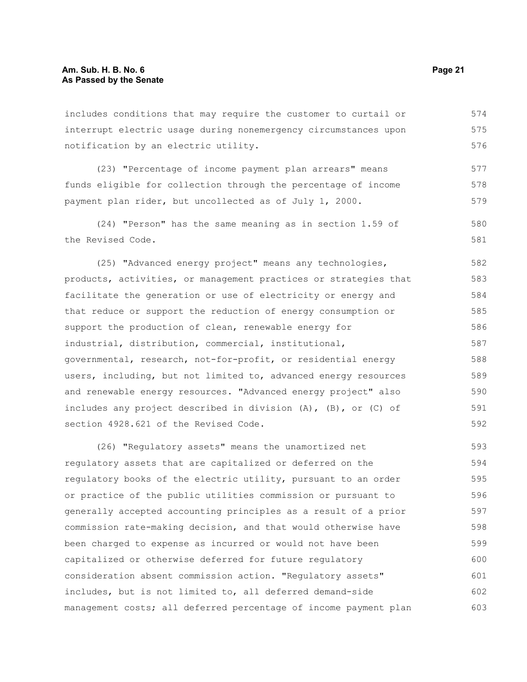includes conditions that may require the customer to curtail or interrupt electric usage during nonemergency circumstances upon notification by an electric utility. 574 575 576

(23) "Percentage of income payment plan arrears" means funds eligible for collection through the percentage of income payment plan rider, but uncollected as of July 1, 2000. 577 578 579

(24) "Person" has the same meaning as in section 1.59 of the Revised Code. 580 581

(25) "Advanced energy project" means any technologies, products, activities, or management practices or strategies that facilitate the generation or use of electricity or energy and that reduce or support the reduction of energy consumption or support the production of clean, renewable energy for industrial, distribution, commercial, institutional, governmental, research, not-for-profit, or residential energy users, including, but not limited to, advanced energy resources and renewable energy resources. "Advanced energy project" also includes any project described in division (A), (B), or (C) of section 4928.621 of the Revised Code. 582 583 584 585 586 587 588 589 590 591 592

(26) "Regulatory assets" means the unamortized net regulatory assets that are capitalized or deferred on the regulatory books of the electric utility, pursuant to an order or practice of the public utilities commission or pursuant to generally accepted accounting principles as a result of a prior commission rate-making decision, and that would otherwise have been charged to expense as incurred or would not have been capitalized or otherwise deferred for future regulatory consideration absent commission action. "Regulatory assets" includes, but is not limited to, all deferred demand-side management costs; all deferred percentage of income payment plan 593 594 595 596 597 598 599 600 601 602 603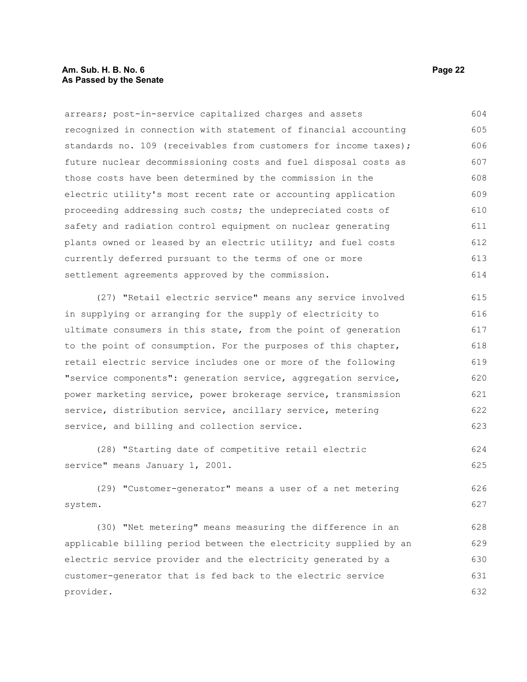#### **Am. Sub. H. B. No. 6 Page 22 As Passed by the Senate**

arrears; post-in-service capitalized charges and assets recognized in connection with statement of financial accounting standards no. 109 (receivables from customers for income taxes); future nuclear decommissioning costs and fuel disposal costs as those costs have been determined by the commission in the electric utility's most recent rate or accounting application proceeding addressing such costs; the undepreciated costs of safety and radiation control equipment on nuclear generating plants owned or leased by an electric utility; and fuel costs currently deferred pursuant to the terms of one or more settlement agreements approved by the commission. 604 605 606 607 608 609 610 611 612 613 614

(27) "Retail electric service" means any service involved in supplying or arranging for the supply of electricity to ultimate consumers in this state, from the point of generation to the point of consumption. For the purposes of this chapter, retail electric service includes one or more of the following "service components": generation service, aggregation service, power marketing service, power brokerage service, transmission service, distribution service, ancillary service, metering service, and billing and collection service. 615 616 617 618 619 620 621 622 623

(28) "Starting date of competitive retail electric service" means January 1, 2001. 624 625

(29) "Customer-generator" means a user of a net metering system. 626 627

(30) "Net metering" means measuring the difference in an applicable billing period between the electricity supplied by an electric service provider and the electricity generated by a customer-generator that is fed back to the electric service provider. 628 629 630 631 632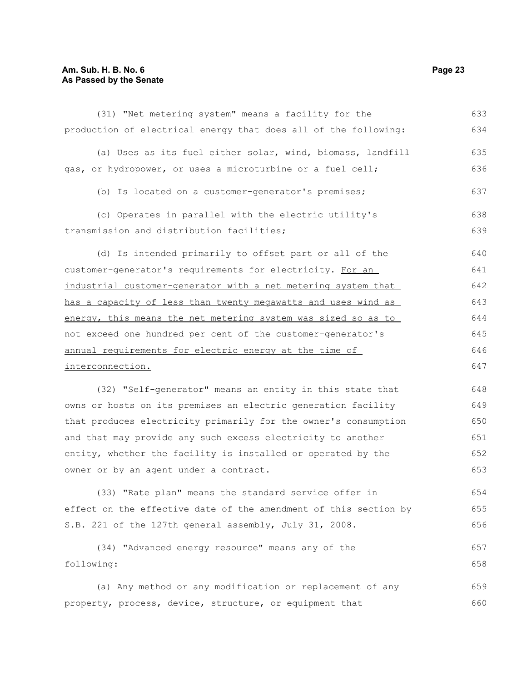# **Am. Sub. H. B. No. 6 Page 23 As Passed by the Senate**

| (31) "Net metering system" means a facility for the              | 633 |
|------------------------------------------------------------------|-----|
| production of electrical energy that does all of the following:  | 634 |
| (a) Uses as its fuel either solar, wind, biomass, landfill       | 635 |
| gas, or hydropower, or uses a microturbine or a fuel cell;       | 636 |
| (b) Is located on a customer-generator's premises;               | 637 |
| (c) Operates in parallel with the electric utility's             | 638 |
| transmission and distribution facilities;                        | 639 |
| (d) Is intended primarily to offset part or all of the           | 640 |
| customer-generator's requirements for electricity. For an        | 641 |
| industrial customer-generator with a net metering system that    | 642 |
| has a capacity of less than twenty megawatts and uses wind as    | 643 |
| energy, this means the net metering system was sized so as to    | 644 |
| not exceed one hundred per cent of the customer-generator's      | 645 |
| annual requirements for electric energy at the time of           | 646 |
| interconnection.                                                 | 647 |
| (32) "Self-generator" means an entity in this state that         | 648 |
| owns or hosts on its premises an electric generation facility    | 649 |
| that produces electricity primarily for the owner's consumption  | 650 |
| and that may provide any such excess electricity to another      | 651 |
| entity, whether the facility is installed or operated by the     | 652 |
| owner or by an agent under a contract.                           | 653 |
| (33) "Rate plan" means the standard service offer in             | 654 |
| effect on the effective date of the amendment of this section by | 655 |
| S.B. 221 of the 127th general assembly, July 31, 2008.           | 656 |
| (34) "Advanced energy resource" means any of the                 | 657 |
| following:                                                       | 658 |
| (a) Any method or any modification or replacement of any         | 659 |
| property, process, device, structure, or equipment that          | 660 |
|                                                                  |     |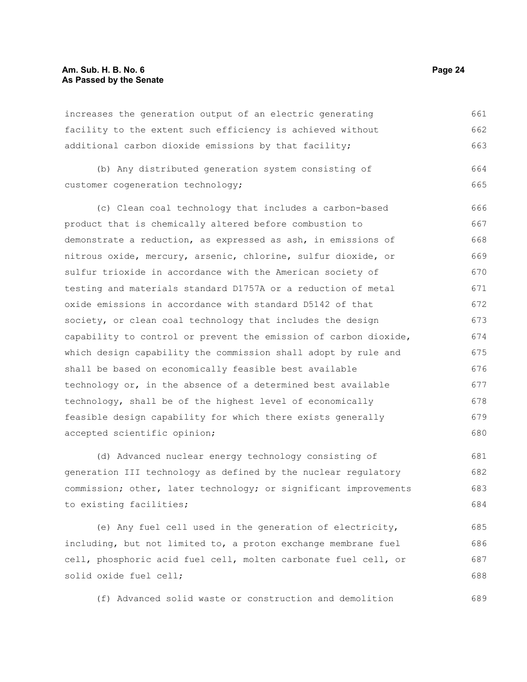#### **Am. Sub. H. B. No. 6 Page 24 As Passed by the Senate**

increases the generation output of an electric generating facility to the extent such efficiency is achieved without additional carbon dioxide emissions by that facility; 661 662 663

(b) Any distributed generation system consisting of customer cogeneration technology; 664 665

(c) Clean coal technology that includes a carbon-based product that is chemically altered before combustion to demonstrate a reduction, as expressed as ash, in emissions of nitrous oxide, mercury, arsenic, chlorine, sulfur dioxide, or sulfur trioxide in accordance with the American society of testing and materials standard D1757A or a reduction of metal oxide emissions in accordance with standard D5142 of that society, or clean coal technology that includes the design capability to control or prevent the emission of carbon dioxide, which design capability the commission shall adopt by rule and shall be based on economically feasible best available technology or, in the absence of a determined best available technology, shall be of the highest level of economically feasible design capability for which there exists generally accepted scientific opinion; 666 667 668 669 670 671 672 673 674 675 676 677 678 679 680

(d) Advanced nuclear energy technology consisting of generation III technology as defined by the nuclear regulatory commission; other, later technology; or significant improvements to existing facilities; 681 682 683 684

(e) Any fuel cell used in the generation of electricity, including, but not limited to, a proton exchange membrane fuel cell, phosphoric acid fuel cell, molten carbonate fuel cell, or solid oxide fuel cell; 685 686 687 688

(f) Advanced solid waste or construction and demolition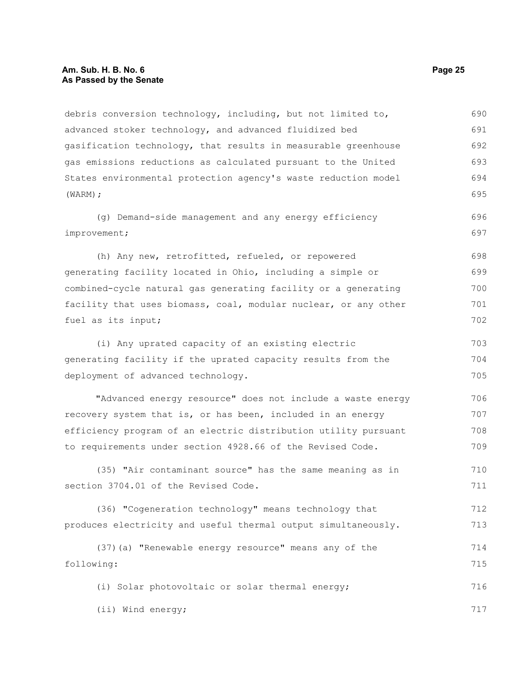#### **Am. Sub. H. B. No. 6 Page 25 As Passed by the Senate**

debris conversion technology, including, but not limited to, advanced stoker technology, and advanced fluidized bed gasification technology, that results in measurable greenhouse gas emissions reductions as calculated pursuant to the United States environmental protection agency's waste reduction model (WARM); (g) Demand-side management and any energy efficiency improvement; (h) Any new, retrofitted, refueled, or repowered generating facility located in Ohio, including a simple or combined-cycle natural gas generating facility or a generating facility that uses biomass, coal, modular nuclear, or any other fuel as its input; (i) Any uprated capacity of an existing electric generating facility if the uprated capacity results from the deployment of advanced technology. "Advanced energy resource" does not include a waste energy recovery system that is, or has been, included in an energy efficiency program of an electric distribution utility pursuant to requirements under section 4928.66 of the Revised Code. (35) "Air contaminant source" has the same meaning as in section 3704.01 of the Revised Code. (36) "Cogeneration technology" means technology that produces electricity and useful thermal output simultaneously. (37)(a) "Renewable energy resource" means any of the following: 690 691 692 693 694 695 696 697 698 699 700 701 702 703 704 705 706 707 708 709 710 711 712 713 714 715

(i) Solar photovoltaic or solar thermal energy;

(ii) Wind energy;

716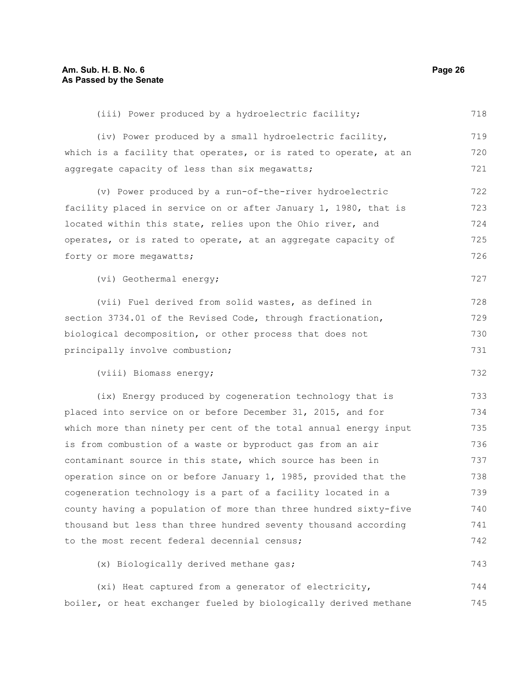(iii) Power produced by a hydroelectric facility; (iv) Power produced by a small hydroelectric facility, which is a facility that operates, or is rated to operate, at an aggregate capacity of less than six megawatts; (v) Power produced by a run-of-the-river hydroelectric facility placed in service on or after January 1, 1980, that is located within this state, relies upon the Ohio river, and operates, or is rated to operate, at an aggregate capacity of forty or more megawatts; (vi) Geothermal energy; (vii) Fuel derived from solid wastes, as defined in section 3734.01 of the Revised Code, through fractionation, biological decomposition, or other process that does not principally involve combustion; (viii) Biomass energy; (ix) Energy produced by cogeneration technology that is placed into service on or before December 31, 2015, and for which more than ninety per cent of the total annual energy input is from combustion of a waste or byproduct gas from an air contaminant source in this state, which source has been in operation since on or before January 1, 1985, provided that the cogeneration technology is a part of a facility located in a county having a population of more than three hundred sixty-five thousand but less than three hundred seventy thousand according to the most recent federal decennial census; (x) Biologically derived methane gas; 718 719 720 721 722 723 724 725 726 727 728 729 730 731 732 733 734 735 736 737 738 739 740 741 742 743

(xi) Heat captured from a generator of electricity, boiler, or heat exchanger fueled by biologically derived methane 744 745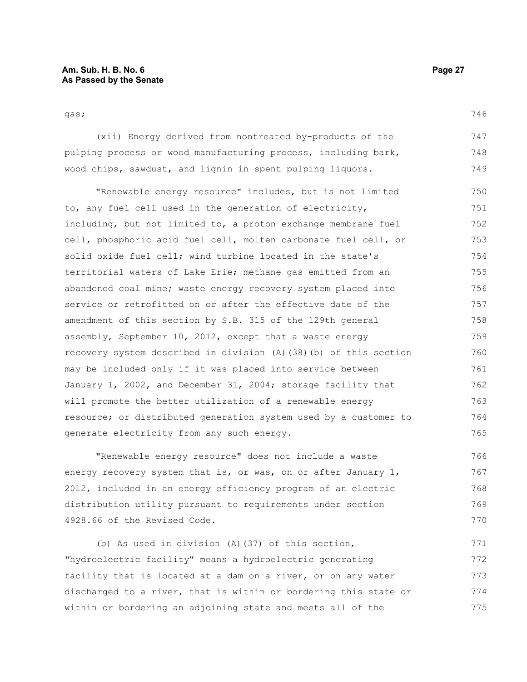746

gas;

(xii) Energy derived from nontreated by-products of the pulping process or wood manufacturing process, including bark, wood chips, sawdust, and lignin in spent pulping liquors. 747 748 749

"Renewable energy resource" includes, but is not limited to, any fuel cell used in the generation of electricity, including, but not limited to, a proton exchange membrane fuel cell, phosphoric acid fuel cell, molten carbonate fuel cell, or solid oxide fuel cell; wind turbine located in the state's territorial waters of Lake Erie; methane gas emitted from an abandoned coal mine; waste energy recovery system placed into service or retrofitted on or after the effective date of the amendment of this section by S.B. 315 of the 129th general assembly, September 10, 2012, except that a waste energy recovery system described in division (A)(38)(b) of this section may be included only if it was placed into service between January 1, 2002, and December 31, 2004; storage facility that will promote the better utilization of a renewable energy resource; or distributed generation system used by a customer to generate electricity from any such energy. 750 751 752 753 754 755 756 757 758 759 760 761 762 763 764 765

"Renewable energy resource" does not include a waste energy recovery system that is, or was, on or after January  $1$ , 2012, included in an energy efficiency program of an electric distribution utility pursuant to requirements under section 4928.66 of the Revised Code. 766 767 768 769 770

(b) As used in division (A)(37) of this section, "hydroelectric facility" means a hydroelectric generating facility that is located at a dam on a river, or on any water discharged to a river, that is within or bordering this state or within or bordering an adjoining state and meets all of the 771 772 773 774 775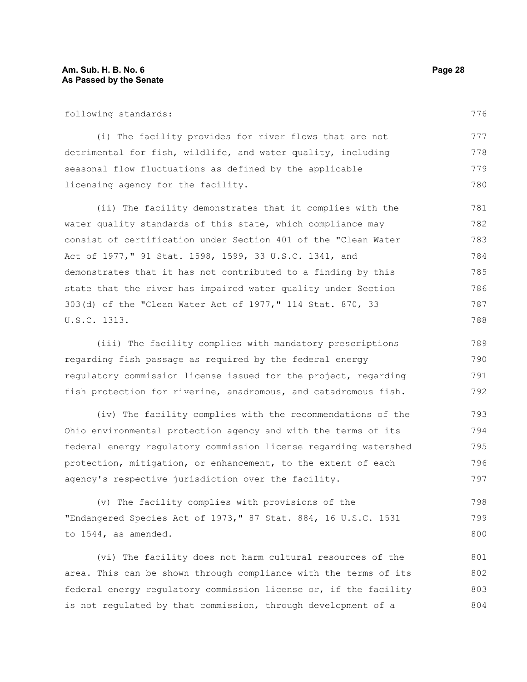following standards:

(i) The facility provides for river flows that are not detrimental for fish, wildlife, and water quality, including seasonal flow fluctuations as defined by the applicable licensing agency for the facility. 777 778 779 780

(ii) The facility demonstrates that it complies with the water quality standards of this state, which compliance may consist of certification under Section 401 of the "Clean Water Act of 1977," 91 Stat. 1598, 1599, 33 U.S.C. 1341, and demonstrates that it has not contributed to a finding by this state that the river has impaired water quality under Section 303(d) of the "Clean Water Act of 1977," 114 Stat. 870, 33 U.S.C. 1313. 781 782 783 784 785 786 787 788

(iii) The facility complies with mandatory prescriptions regarding fish passage as required by the federal energy regulatory commission license issued for the project, regarding fish protection for riverine, anadromous, and catadromous fish. 789 790 791 792

(iv) The facility complies with the recommendations of the Ohio environmental protection agency and with the terms of its federal energy regulatory commission license regarding watershed protection, mitigation, or enhancement, to the extent of each agency's respective jurisdiction over the facility. 793 794 795 796 797

(v) The facility complies with provisions of the "Endangered Species Act of 1973," 87 Stat. 884, 16 U.S.C. 1531 to 1544, as amended. 798 799 800

(vi) The facility does not harm cultural resources of the area. This can be shown through compliance with the terms of its federal energy regulatory commission license or, if the facility is not regulated by that commission, through development of a 801 802 803 804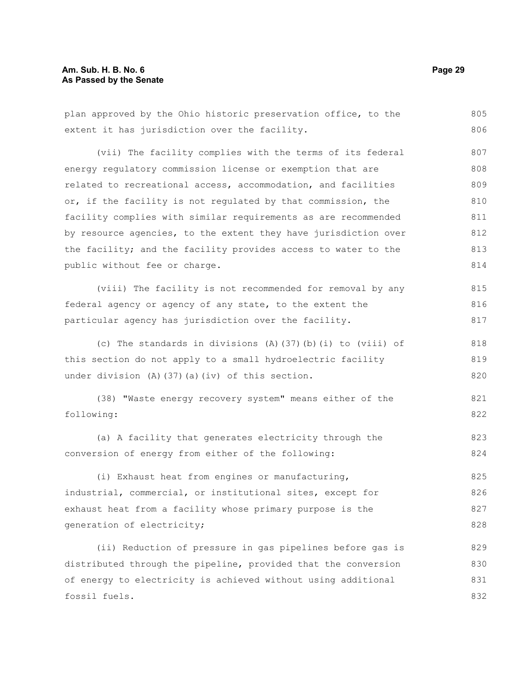### **Am. Sub. H. B. No. 6 Page 29 As Passed by the Senate**

plan approved by the Ohio historic preservation office, to the extent it has jurisdiction over the facility. (vii) The facility complies with the terms of its federal energy regulatory commission license or exemption that are related to recreational access, accommodation, and facilities or, if the facility is not regulated by that commission, the facility complies with similar requirements as are recommended by resource agencies, to the extent they have jurisdiction over the facility; and the facility provides access to water to the public without fee or charge. (viii) The facility is not recommended for removal by any federal agency or agency of any state, to the extent the particular agency has jurisdiction over the facility. (c) The standards in divisions (A)(37)(b)(i) to (viii) of this section do not apply to a small hydroelectric facility under division (A)(37)(a)(iv) of this section. (38) "Waste energy recovery system" means either of the following: (a) A facility that generates electricity through the conversion of energy from either of the following: (i) Exhaust heat from engines or manufacturing, industrial, commercial, or institutional sites, except for exhaust heat from a facility whose primary purpose is the generation of electricity; (ii) Reduction of pressure in gas pipelines before gas is distributed through the pipeline, provided that the conversion of energy to electricity is achieved without using additional fossil fuels. 805 806 807 808 809 810 811 812 813 814 815 816 817 818 819 820 821 822 823 824 825 826 827 828 829 830 831 832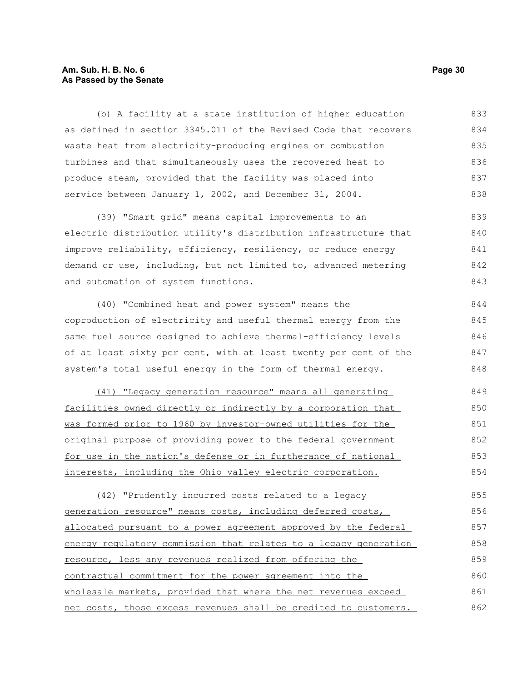### **Am. Sub. H. B. No. 6 Page 30 As Passed by the Senate**

(b) A facility at a state institution of higher education as defined in section 3345.011 of the Revised Code that recovers waste heat from electricity-producing engines or combustion turbines and that simultaneously uses the recovered heat to produce steam, provided that the facility was placed into service between January 1, 2002, and December 31, 2004. 833 834 835 836 837 838

(39) "Smart grid" means capital improvements to an electric distribution utility's distribution infrastructure that improve reliability, efficiency, resiliency, or reduce energy demand or use, including, but not limited to, advanced metering and automation of system functions. 839 840 841 842 843

(40) "Combined heat and power system" means the coproduction of electricity and useful thermal energy from the same fuel source designed to achieve thermal-efficiency levels of at least sixty per cent, with at least twenty per cent of the system's total useful energy in the form of thermal energy. 844 845 846 847 848

(41) "Legacy generation resource" means all generating facilities owned directly or indirectly by a corporation that was formed prior to 1960 by investor-owned utilities for the original purpose of providing power to the federal government for use in the nation's defense or in furtherance of national interests, including the Ohio valley electric corporation. 849 850 851 852 853 854

(42) "Prudently incurred costs related to a legacy generation resource" means costs, including deferred costs, allocated pursuant to a power agreement approved by the federal energy regulatory commission that relates to a legacy generation resource, less any revenues realized from offering the contractual commitment for the power agreement into the wholesale markets, provided that where the net revenues exceed net costs, those excess revenues shall be credited to customers. 855 856 857 858 859 860 861 862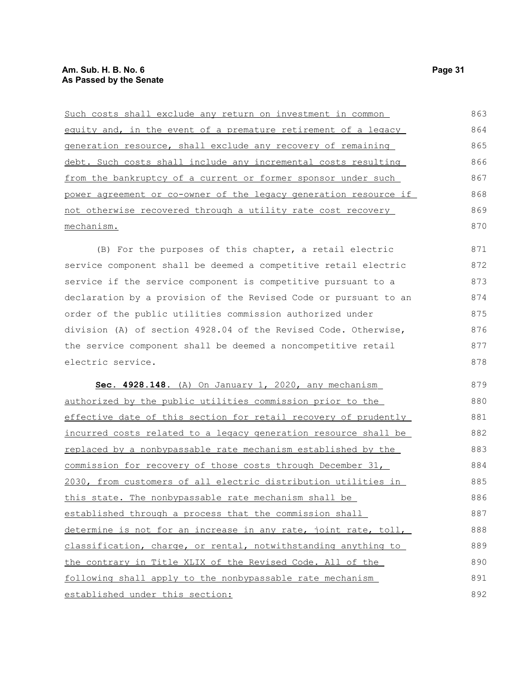| Such costs shall exclude any return on investment in common      | 863 |
|------------------------------------------------------------------|-----|
| equity and, in the event of a premature retirement of a legacy   | 864 |
| generation resource, shall exclude any recovery of remaining     | 865 |
| debt. Such costs shall include any incremental costs resulting   | 866 |
| from the bankruptcy of a current or former sponsor under such    | 867 |
| power agreement or co-owner of the legacy generation resource if | 868 |
| not otherwise recovered through a utility rate cost recovery     | 869 |
| mechanism.                                                       | 870 |

(B) For the purposes of this chapter, a retail electric service component shall be deemed a competitive retail electric service if the service component is competitive pursuant to a declaration by a provision of the Revised Code or pursuant to an order of the public utilities commission authorized under division (A) of section 4928.04 of the Revised Code. Otherwise, the service component shall be deemed a noncompetitive retail electric service. 871 872 873 874 875 876 877 878

 **Sec. 4928.148.** (A) On January 1, 2020, any mechanism authorized by the public utilities commission prior to the effective date of this section for retail recovery of prudently incurred costs related to a legacy generation resource shall be replaced by a nonbypassable rate mechanism established by the commission for recovery of those costs through December 31, 2030, from customers of all electric distribution utilities in this state. The nonbypassable rate mechanism shall be established through a process that the commission shall determine is not for an increase in any rate, joint rate, toll, classification, charge, or rental, notwithstanding anything to the contrary in Title XLIX of the Revised Code. All of the following shall apply to the nonbypassable rate mechanism established under this section: 879 880 881 882 883 884 885 886 887 888 889 890 891 892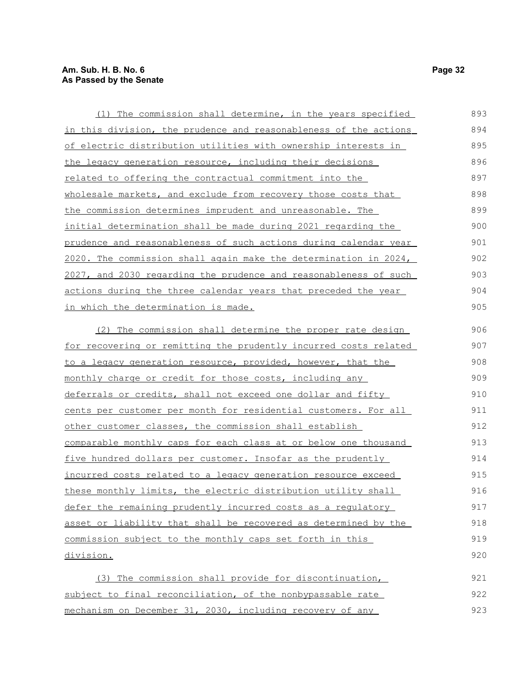| (1) The commission shall determine, in the years specified              | 893 |
|-------------------------------------------------------------------------|-----|
| in this division, the prudence and reasonableness of the actions        | 894 |
| of electric distribution utilities with ownership interests in          | 895 |
| the legacy generation resource, including their decisions               | 896 |
| related to offering the contractual commitment into the                 | 897 |
| wholesale markets, and exclude from recovery those costs that           | 898 |
| the commission determines imprudent and unreasonable. The               | 899 |
| initial determination shall be made during 2021 regarding the           | 900 |
| prudence and reasonableness of such actions during calendar year        | 901 |
| 2020. The commission shall again make the determination in 2024,        | 902 |
| 2027, and 2030 regarding the prudence and reasonableness of such        | 903 |
| actions during the three calendar years that preceded the year          | 904 |
| in which the determination is made.                                     | 905 |
| (2) The commission shall determine the proper rate design               | 906 |
| <u>for recovering or remitting the prudently incurred costs related</u> | 907 |
| to a legacy generation resource, provided, however, that the            | 908 |
| <u>monthly charge or credit for those costs, including any</u>          | 909 |
| deferrals or credits, shall not exceed one dollar and fifty             | 910 |
| cents per customer per month for residential customers. For all         | 911 |
| other customer classes, the commission shall establish                  | 912 |
| comparable monthly caps for each class at or below one thousand         | 913 |
| five hundred dollars per customer. Insofar as the prudently             | 914 |
| incurred costs related to a legacy generation resource exceed           | 915 |
| these monthly limits, the electric distribution utility shall           | 916 |
| defer the remaining prudently incurred costs as a regulatory            | 917 |
| asset or liability that shall be recovered as determined by the         | 918 |
| commission subject to the monthly caps set forth in this                | 919 |
| <u>division.</u>                                                        | 920 |
| (3) The commission shall provide for discontinuation,                   | 921 |
| subject to final reconciliation, of the nonbypassable rate              | 922 |
| mechanism on December 31, 2030, including recovery of any               | 923 |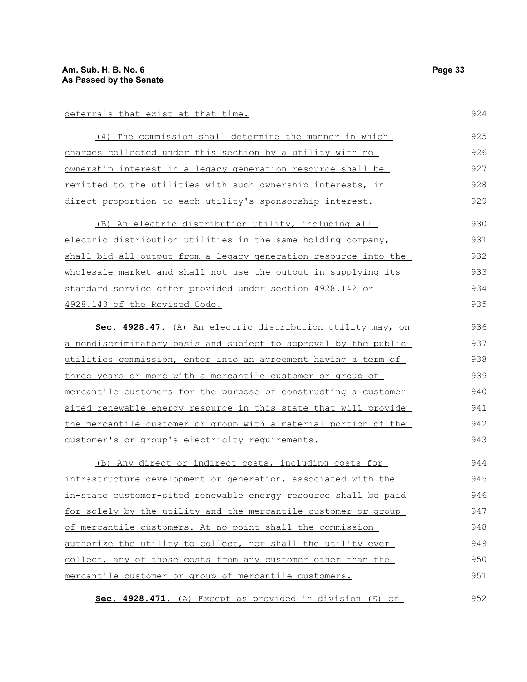#### deferrals that exist at that time.

| (4) The commission shall determine the manner in which      | 925 |
|-------------------------------------------------------------|-----|
| charges collected under this section by a utility with no   | 926 |
| ownership interest in a legacy generation resource shall be | 927 |
| remitted to the utilities with such ownership interests, in | 928 |
| direct proportion to each utility's sponsorship interest.   | 929 |

(B) An electric distribution utility, including all electric distribution utilities in the same holding company, shall bid all output from a legacy generation resource into the wholesale market and shall not use the output in supplying its standard service offer provided under section 4928.142 or 4928.143 of the Revised Code. 930 931 932 933 934 935

 **Sec. 4928.47.** (A) An electric distribution utility may, on a nondiscriminatory basis and subject to approval by the public utilities commission, enter into an agreement having a term of three years or more with a mercantile customer or group of mercantile customers for the purpose of constructing a customer sited renewable energy resource in this state that will provide the mercantile customer or group with a material portion of the customer's or group's electricity requirements. 936 937 938 939 940 941 942 943

(B) Any direct or indirect costs, including costs for infrastructure development or generation, associated with the in-state customer-sited renewable energy resource shall be paid for solely by the utility and the mercantile customer or group of mercantile customers. At no point shall the commission authorize the utility to collect, nor shall the utility ever collect, any of those costs from any customer other than the mercantile customer or group of mercantile customers. 944 945 946 947 948 949 950 951

**Sec. 4928.471.** (A) Except as provided in division (E) of

924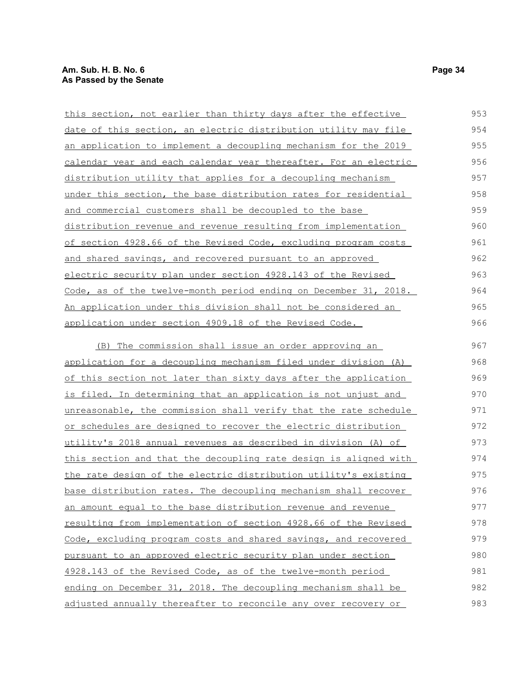| this section, not earlier than thirty days after the effective         | 953 |
|------------------------------------------------------------------------|-----|
| date of this section, an electric distribution utility may file        | 954 |
| <u>an application to implement a decoupling mechanism for the 2019</u> | 955 |
| calendar year and each calendar year thereafter. For an electric       | 956 |
| distribution utility that applies for a decoupling mechanism           | 957 |
| under this section, the base distribution rates for residential        | 958 |
| and commercial customers shall be decoupled to the base                | 959 |
| <u>distribution revenue and revenue resulting from implementation</u>  | 960 |
| of section 4928.66 of the Revised Code, excluding program costs        | 961 |
| and shared savings, and recovered pursuant to an approved              | 962 |
| electric security plan under section 4928.143 of the Revised           | 963 |
| Code, as of the twelve-month period ending on December 31, 2018.       | 964 |
| An application under this division shall not be considered an          | 965 |
| application under section 4909.18 of the Revised Code.                 | 966 |
| The commission shall issue an order approving an<br>(B)                | 967 |
| application for a decoupling mechanism filed under division (A)        | 968 |
| of this section not later than sixty days after the application        | 969 |
| is filed. In determining that an application is not unjust and         | 970 |
| unreasonable, the commission shall verify that the rate schedule       | 971 |
| or schedules are designed to recover the electric distribution         | 972 |
| utility's 2018 annual revenues as described in division (A) of         | 973 |
| this section and that the decoupling rate design is aligned with       | 974 |
| the rate design of the electric distribution utility's existing        | 975 |
| base distribution rates. The decoupling mechanism shall recover        | 976 |
| an amount equal to the base distribution revenue and revenue           | 977 |
| resulting from implementation of section 4928.66 of the Revised        | 978 |
| Code, excluding program costs and shared savings, and recovered        | 979 |
| pursuant to an approved electric security plan under section           | 980 |

4928.143 of the Revised Code, as of the twelve-month period ending on December 31, 2018. The decoupling mechanism shall be adjusted annually thereafter to reconcile any over recovery or 981 982 983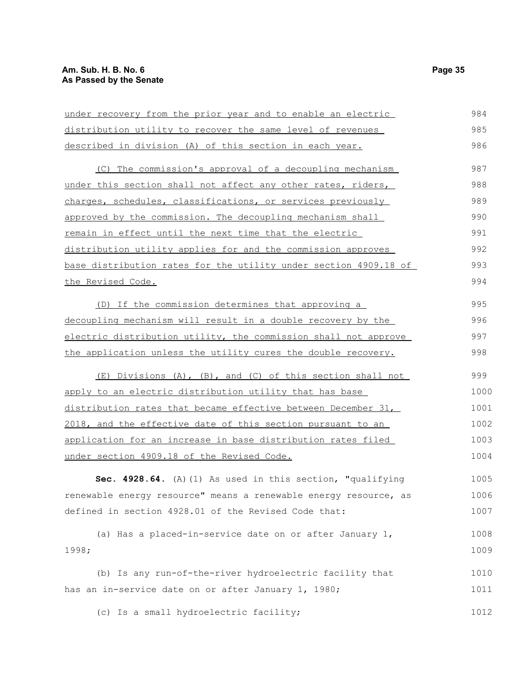| under recovery from the prior year and to enable an electric     | 984  |
|------------------------------------------------------------------|------|
| distribution utility to recover the same level of revenues       | 985  |
| described in division (A) of this section in each year.          | 986  |
| (C) The commission's approval of a decoupling mechanism          | 987  |
| under this section shall not affect any other rates, riders,     | 988  |
| charges, schedules, classifications, or services previously      | 989  |
| approved by the commission. The decoupling mechanism shall       | 990  |
| remain in effect until the next time that the electric           | 991  |
| distribution utility applies for and the commission approves     | 992  |
| base distribution rates for the utility under section 4909.18 of | 993  |
| the Revised Code.                                                | 994  |
| (D) If the commission determines that approving a                | 995  |
| decoupling mechanism will result in a double recovery by the     | 996  |
| electric distribution utility, the commission shall not approve  | 997  |
| the application unless the utility cures the double recovery.    | 998  |
| (E) Divisions (A), (B), and (C) of this section shall not        | 999  |
| apply to an electric distribution utility that has base          | 1000 |
| distribution rates that became effective between December 31,    | 1001 |
| 2018, and the effective date of this section pursuant to an      | 1002 |
| application for an increase in base distribution rates filed     | 1003 |
| under section 4909.18 of the Revised Code.                       | 1004 |
| Sec. 4928.64. (A) (1) As used in this section, "qualifying       | 1005 |
| renewable energy resource" means a renewable energy resource, as | 1006 |
| defined in section 4928.01 of the Revised Code that:             | 1007 |
| (a) Has a placed-in-service date on or after January 1,          | 1008 |
| 1998;                                                            | 1009 |
| (b) Is any run-of-the-river hydroelectric facility that          | 1010 |
| has an in-service date on or after January 1, 1980;              | 1011 |
| (c) Is a small hydroelectric facility;                           | 1012 |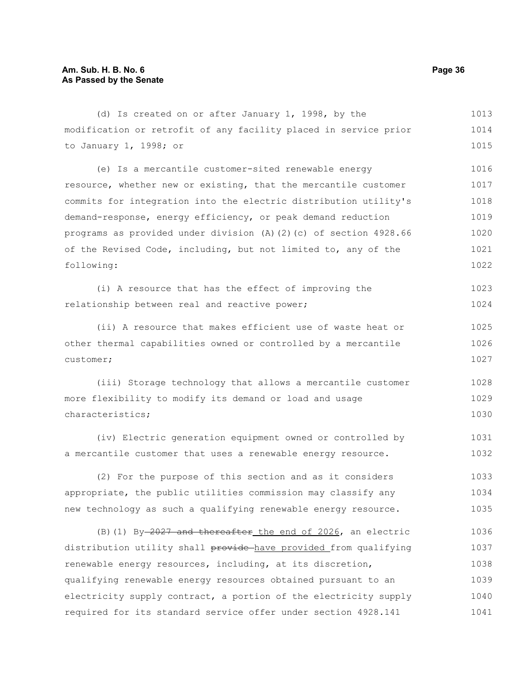to January 1, 1998; or

following:

(d) Is created on or after January 1, 1998, by the modification or retrofit of any facility placed in service prior (e) Is a mercantile customer-sited renewable energy resource, whether new or existing, that the mercantile customer commits for integration into the electric distribution utility's demand-response, energy efficiency, or peak demand reduction programs as provided under division (A)(2)(c) of section 4928.66 of the Revised Code, including, but not limited to, any of the 1017

|                                               |  | (i) A resource that has the effect of improving the | 1023 |
|-----------------------------------------------|--|-----------------------------------------------------|------|
| relationship between real and reactive power; |  |                                                     | 1024 |

(ii) A resource that makes efficient use of waste heat or other thermal capabilities owned or controlled by a mercantile customer; 1025 1026 1027

(iii) Storage technology that allows a mercantile customer more flexibility to modify its demand or load and usage characteristics; 1028 1029 1030

(iv) Electric generation equipment owned or controlled by a mercantile customer that uses a renewable energy resource. 1031 1032

(2) For the purpose of this section and as it considers appropriate, the public utilities commission may classify any new technology as such a qualifying renewable energy resource. 1033 1034 1035

(B)(1) By 2027 and thereafter the end of 2026, an electric distribution utility shall provide have provided from qualifying renewable energy resources, including, at its discretion, qualifying renewable energy resources obtained pursuant to an electricity supply contract, a portion of the electricity supply required for its standard service offer under section 4928.141 1036 1037 1038 1039 1040 1041

1013 1014 1015

1016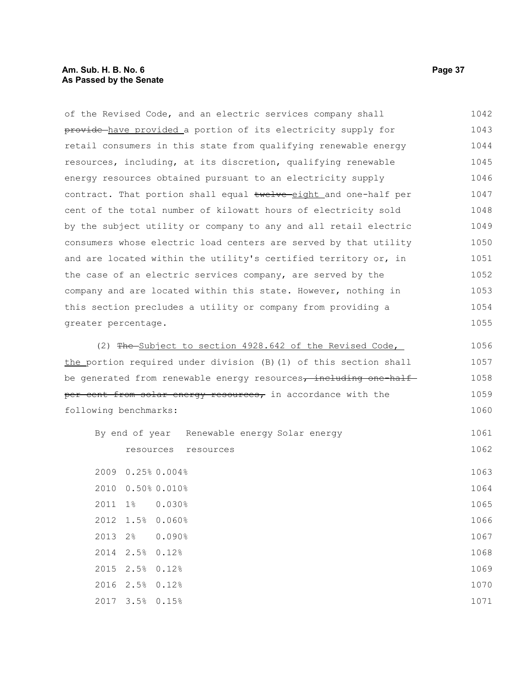# **Am. Sub. H. B. No. 6 Page 37 As Passed by the Senate**

| of the Revised Code, and an electric services company shall       | 1042 |
|-------------------------------------------------------------------|------|
| provide have provided a portion of its electricity supply for     | 1043 |
| retail consumers in this state from qualifying renewable energy   | 1044 |
| resources, including, at its discretion, qualifying renewable     | 1045 |
| energy resources obtained pursuant to an electricity supply       | 1046 |
| contract. That portion shall equal twelve eight and one-half per  | 1047 |
| cent of the total number of kilowatt hours of electricity sold    | 1048 |
| by the subject utility or company to any and all retail electric  | 1049 |
| consumers whose electric load centers are served by that utility  | 1050 |
| and are located within the utility's certified territory or, in   | 1051 |
| the case of an electric services company, are served by the       | 1052 |
| company and are located within this state. However, nothing in    | 1053 |
| this section precludes a utility or company from providing a      | 1054 |
| greater percentage.                                               | 1055 |
| (2) The Subject to section 4928.642 of the Revised Code,          | 1056 |
| the portion required under division (B) (1) of this section shall | 1057 |
| be generated from renewable energy resources, including one-half  |      |
| per cent from solar energy resources, in accordance with the      | 1059 |
| following benchmarks:                                             | 1060 |
| By end of year<br>Renewable energy Solar energy                   | 1061 |
| resources resources                                               | 1062 |
| 2009 0.25% 0.004%                                                 | 1063 |
| 2010 0.50% 0.010%                                                 | 1064 |
| 2011<br>$1\%$<br>0.030%                                           | 1065 |
| 2012<br>1.5%<br>0.060%                                            | 1066 |
| 2013<br>2%<br>0.090%                                              | 1067 |
| 2.5%<br>2014<br>0.12%                                             | 1068 |
| 2015<br>2.5%<br>0.12%                                             | 1069 |
| 2016<br>2.5%<br>0.12%                                             | 1070 |
| 2017<br>3.5%<br>0.15%                                             | 1071 |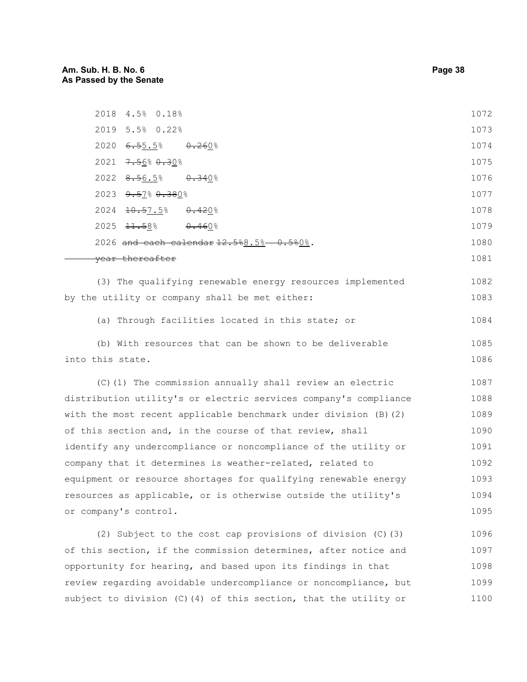| 2018 4.5% 0.18%                                                      | 1072 |
|----------------------------------------------------------------------|------|
| 2019 5.5% 0.22%                                                      | 1073 |
| $2020 \quad 6.55.5$ %<br>0.2608                                      | 1074 |
| $2021$ $7.568$ $0.308$                                               | 1075 |
| $2022$ $8.56.5$ $0.340$                                              | 1076 |
| 2023 9.57% 0.380%                                                    | 1077 |
| 2024 <del>10.5</del> 7.5%<br><del>0.42</del> 0%                      | 1078 |
| $2025$ $\overline{11.58}$ $\overline{0.460}$                         | 1079 |
| 2026 and each calendar 12.5%8.5%-0.5%0%.                             | 1080 |
| <del>vear thereafter</del>                                           | 1081 |
| (3) The qualifying renewable energy resources implemented            | 1082 |
| by the utility or company shall be met either:                       | 1083 |
| (a) Through facilities located in this state; or                     | 1084 |
| (b) With resources that can be shown to be deliverable               | 1085 |
| into this state.                                                     | 1086 |
| (C) (1) The commission annually shall review an electric             | 1087 |
| distribution utility's or electric services company's compliance     | 1088 |
| with the most recent applicable benchmark under division $(B)$ $(2)$ | 1089 |
| of this section and, in the course of that review, shall             | 1090 |
| identify any undercompliance or noncompliance of the utility or      | 1091 |
|                                                                      |      |

equipment or resource shortages for qualifying renewable energy resources as applicable, or is otherwise outside the utility's or company's control. 1093 1094 1095

company that it determines is weather-related, related to

(2) Subject to the cost cap provisions of division (C)(3) of this section, if the commission determines, after notice and opportunity for hearing, and based upon its findings in that review regarding avoidable undercompliance or noncompliance, but subject to division (C)(4) of this section, that the utility or 1096 1097 1098 1099 1100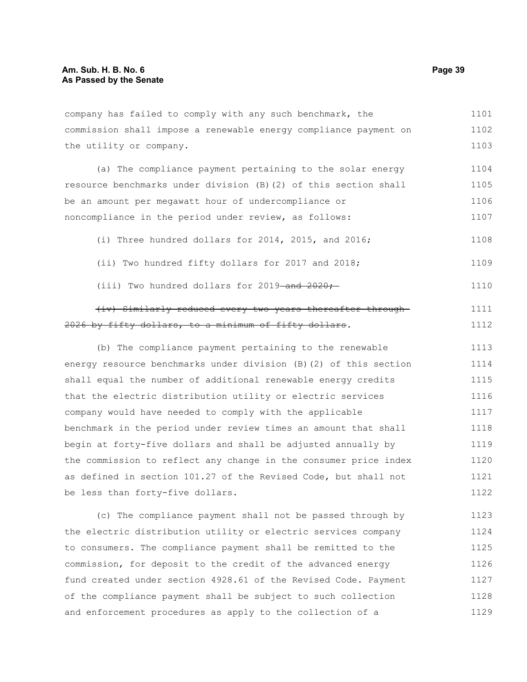company has failed to comply with any such benchmark, the commission shall impose a renewable energy compliance payment on the utility or company. 1101 1102 1103

(a) The compliance payment pertaining to the solar energy resource benchmarks under division (B)(2) of this section shall be an amount per megawatt hour of undercompliance or noncompliance in the period under review, as follows: 1104 1105 1106 1107

(i) Three hundred dollars for 2014, 2015, and 2016; 1108

- (ii) Two hundred fifty dollars for 2017 and 2018; 1109
- (iii) Two hundred dollars for  $2019$  and  $2020$ ;

#### (iv) Similarly reduced every two years thereafter through 2026 by fifty dollars, to a minimum of fifty dollars. 1111 1112

(b) The compliance payment pertaining to the renewable energy resource benchmarks under division (B)(2) of this section shall equal the number of additional renewable energy credits that the electric distribution utility or electric services company would have needed to comply with the applicable benchmark in the period under review times an amount that shall begin at forty-five dollars and shall be adjusted annually by the commission to reflect any change in the consumer price index as defined in section 101.27 of the Revised Code, but shall not be less than forty-five dollars. 1113 1114 1115 1116 1117 1118 1119 1120 1121 1122

(c) The compliance payment shall not be passed through by the electric distribution utility or electric services company to consumers. The compliance payment shall be remitted to the commission, for deposit to the credit of the advanced energy fund created under section 4928.61 of the Revised Code. Payment of the compliance payment shall be subject to such collection and enforcement procedures as apply to the collection of a 1123 1124 1125 1126 1127 1128 1129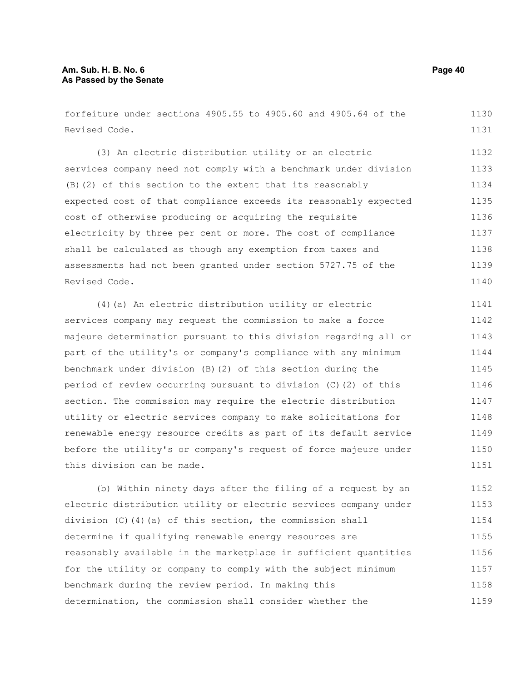forfeiture under sections 4905.55 to 4905.60 and 4905.64 of the Revised Code. 1130 1131

(3) An electric distribution utility or an electric services company need not comply with a benchmark under division (B)(2) of this section to the extent that its reasonably expected cost of that compliance exceeds its reasonably expected cost of otherwise producing or acquiring the requisite electricity by three per cent or more. The cost of compliance shall be calculated as though any exemption from taxes and assessments had not been granted under section 5727.75 of the Revised Code. 1132 1133 1134 1135 1136 1137 1138 1139 1140

(4)(a) An electric distribution utility or electric services company may request the commission to make a force majeure determination pursuant to this division regarding all or part of the utility's or company's compliance with any minimum benchmark under division (B)(2) of this section during the period of review occurring pursuant to division (C)(2) of this section. The commission may require the electric distribution utility or electric services company to make solicitations for renewable energy resource credits as part of its default service before the utility's or company's request of force majeure under this division can be made. 1141 1142 1143 1144 1145 1146 1147 1148 1149 1150 1151

(b) Within ninety days after the filing of a request by an electric distribution utility or electric services company under division (C)(4)(a) of this section, the commission shall determine if qualifying renewable energy resources are reasonably available in the marketplace in sufficient quantities for the utility or company to comply with the subject minimum benchmark during the review period. In making this determination, the commission shall consider whether the 1152 1153 1154 1155 1156 1157 1158 1159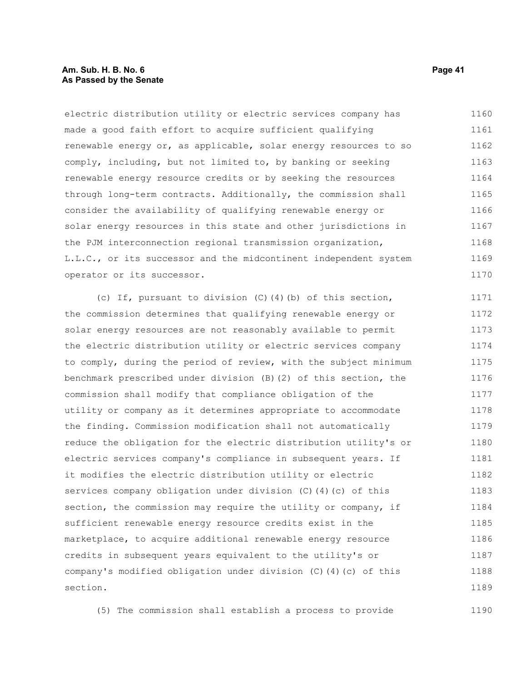#### **Am. Sub. H. B. No. 6 Page 41 As Passed by the Senate**

electric distribution utility or electric services company has made a good faith effort to acquire sufficient qualifying renewable energy or, as applicable, solar energy resources to so comply, including, but not limited to, by banking or seeking renewable energy resource credits or by seeking the resources through long-term contracts. Additionally, the commission shall consider the availability of qualifying renewable energy or solar energy resources in this state and other jurisdictions in the PJM interconnection regional transmission organization, L.L.C., or its successor and the midcontinent independent system operator or its successor. 1160 1161 1162 1163 1164 1165 1166 1167 1168 1169 1170

(c) If, pursuant to division (C)(4)(b) of this section, the commission determines that qualifying renewable energy or solar energy resources are not reasonably available to permit the electric distribution utility or electric services company to comply, during the period of review, with the subject minimum benchmark prescribed under division (B)(2) of this section, the commission shall modify that compliance obligation of the utility or company as it determines appropriate to accommodate the finding. Commission modification shall not automatically reduce the obligation for the electric distribution utility's or electric services company's compliance in subsequent years. If it modifies the electric distribution utility or electric services company obligation under division (C)(4)(c) of this section, the commission may require the utility or company, if sufficient renewable energy resource credits exist in the marketplace, to acquire additional renewable energy resource credits in subsequent years equivalent to the utility's or company's modified obligation under division (C)(4)(c) of this section. 1171 1172 1173 1174 1175 1176 1177 1178 1179 1180 1181 1182 1183 1184 1185 1186 1187 1188 1189

(5) The commission shall establish a process to provide 1190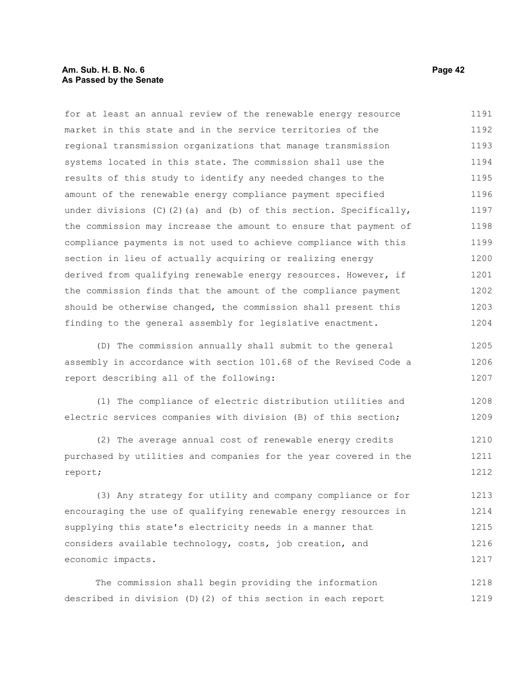#### **Am. Sub. H. B. No. 6 Page 42 As Passed by the Senate**

for at least an annual review of the renewable energy resource market in this state and in the service territories of the regional transmission organizations that manage transmission systems located in this state. The commission shall use the results of this study to identify any needed changes to the amount of the renewable energy compliance payment specified under divisions (C)(2)(a) and (b) of this section. Specifically, the commission may increase the amount to ensure that payment of compliance payments is not used to achieve compliance with this section in lieu of actually acquiring or realizing energy derived from qualifying renewable energy resources. However, if the commission finds that the amount of the compliance payment should be otherwise changed, the commission shall present this finding to the general assembly for legislative enactment. 1191 1192 1193 1194 1195 1196 1197 1198 1199 1200 1201 1202 1203 1204

(D) The commission annually shall submit to the general assembly in accordance with section 101.68 of the Revised Code a report describing all of the following: 1205 1206 1207

(1) The compliance of electric distribution utilities and electric services companies with division (B) of this section; 1208 1209

(2) The average annual cost of renewable energy credits purchased by utilities and companies for the year covered in the report; 1210 1211 1212

(3) Any strategy for utility and company compliance or for encouraging the use of qualifying renewable energy resources in supplying this state's electricity needs in a manner that considers available technology, costs, job creation, and economic impacts. 1213 1214 1215 1216 1217

The commission shall begin providing the information described in division (D)(2) of this section in each report 1218 1219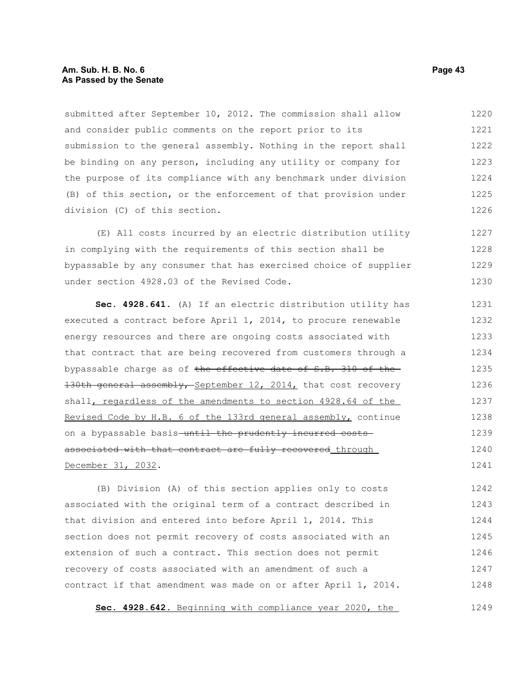#### **Am. Sub. H. B. No. 6 Page 43 As Passed by the Senate**

submitted after September 10, 2012. The commission shall allow and consider public comments on the report prior to its submission to the general assembly. Nothing in the report shall be binding on any person, including any utility or company for the purpose of its compliance with any benchmark under division (B) of this section, or the enforcement of that provision under division (C) of this section. 1220 1221 1222 1223 1224 1225 1226

(E) All costs incurred by an electric distribution utility in complying with the requirements of this section shall be bypassable by any consumer that has exercised choice of supplier under section 4928.03 of the Revised Code. 1227 1228 1229 1230

**Sec. 4928.641.** (A) If an electric distribution utility has executed a contract before April 1, 2014, to procure renewable energy resources and there are ongoing costs associated with that contract that are being recovered from customers through a bypassable charge as of the effective date of S.B. 310 of the-130th general assembly, September 12, 2014, that cost recovery shall, regardless of the amendments to section 4928.64 of the Revised Code by H.B. 6 of the 133rd general assembly, continue on a bypassable basis-until the prudently incurred costsassociated with that contract are fully recovered through December 31, 2032. 1231 1232 1233 1234 1235 1236 1237 1238 1239 1240 1241

(B) Division (A) of this section applies only to costs associated with the original term of a contract described in that division and entered into before April 1, 2014. This section does not permit recovery of costs associated with an extension of such a contract. This section does not permit recovery of costs associated with an amendment of such a contract if that amendment was made on or after April 1, 2014. 1242 1243 1244 1245 1246 1247 1248

 **Sec. 4928.642.** Beginning with compliance year 2020, the 1249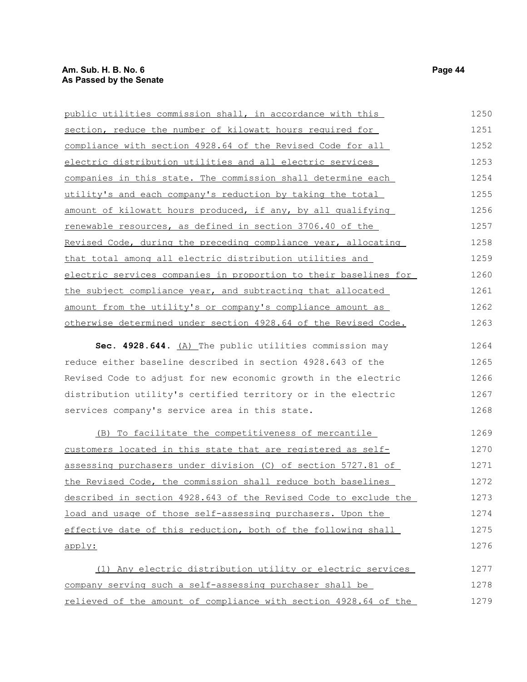| public utilities commission shall, in accordance with this        | 1250 |
|-------------------------------------------------------------------|------|
| section, reduce the number of kilowatt hours required for         | 1251 |
| compliance with section 4928.64 of the Revised Code for all       | 1252 |
| electric distribution utilities and all electric services         | 1253 |
| companies in this state. The commission shall determine each      | 1254 |
| <u>utility's and each company's reduction by taking the total</u> | 1255 |
| amount of kilowatt hours produced, if any, by all qualifying      | 1256 |
| renewable resources, as defined in section 3706.40 of the         | 1257 |
| Revised Code, during the preceding compliance year, allocating    | 1258 |
| that total among all electric distribution utilities and          | 1259 |
| electric services companies in proportion to their baselines for  | 1260 |
| the subject compliance year, and subtracting that allocated       | 1261 |
| amount from the utility's or company's compliance amount as       | 1262 |
| otherwise determined under section 4928.64 of the Revised Code.   | 1263 |
|                                                                   |      |

Sec. 4928.644. (A) The public utilities commission may reduce either baseline described in section 4928.643 of the Revised Code to adjust for new economic growth in the electric distribution utility's certified territory or in the electric services company's service area in this state. 1264 1265 1266 1267 1268

 (B) To facilitate the competitiveness of mercantile customers located in this state that are registered as selfassessing purchasers under division (C) of section 5727.81 of the Revised Code, the commission shall reduce both baselines described in section 4928.643 of the Revised Code to exclude the load and usage of those self-assessing purchasers. Upon the effective date of this reduction, both of the following shall apply: (1) Any electric distribution utility or electric services 1269 1270 1271 1272 1273 1274 1275 1276 1277

company serving such a self-assessing purchaser shall be relieved of the amount of compliance with section 4928.64 of the 1278 1279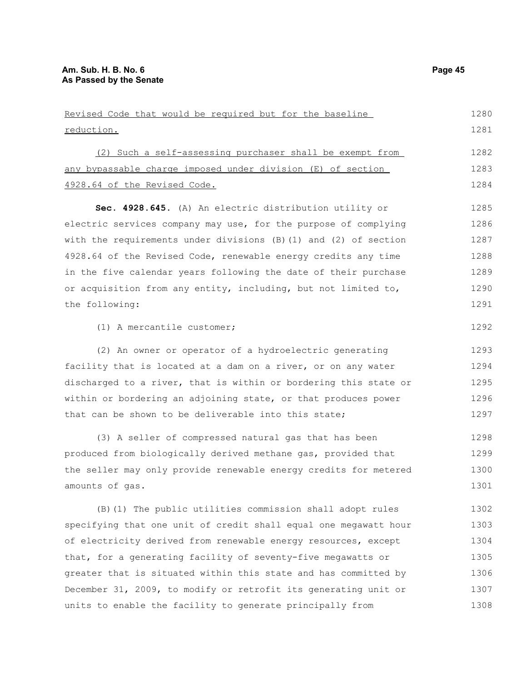| Revised Code that would be required but for the baseline           | 1280 |
|--------------------------------------------------------------------|------|
| reduction.                                                         | 1281 |
| (2) Such a self-assessing purchaser shall be exempt from           | 1282 |
| any bypassable charge imposed under division (E) of section        | 1283 |
| 4928.64 of the Revised Code.                                       | 1284 |
| Sec. 4928.645. (A) An electric distribution utility or             | 1285 |
| electric services company may use, for the purpose of complying    | 1286 |
| with the requirements under divisions $(B)$ (1) and (2) of section | 1287 |
| 4928.64 of the Revised Code, renewable energy credits any time     | 1288 |
| in the five calendar years following the date of their purchase    | 1289 |
| or acquisition from any entity, including, but not limited to,     | 1290 |
| the following:                                                     | 1291 |
| (1) A mercantile customer;                                         | 1292 |
| (2) An owner or operator of a hydroelectric generating             | 1293 |
| facility that is located at a dam on a river, or on any water      | 1294 |
| discharged to a river, that is within or bordering this state or   | 1295 |
| within or bordering an adjoining state, or that produces power     | 1296 |
| that can be shown to be deliverable into this state;               | 1297 |
| (3) A seller of compressed natural gas that has been               | 1298 |
| produced from biologically derived methane gas, provided that      | 1299 |
| the seller may only provide renewable energy credits for metered   | 1300 |
| amounts of gas.                                                    | 1301 |
| (B) (1) The public utilities commission shall adopt rules          | 1302 |
| specifying that one unit of credit shall equal one megawatt hour   | 1303 |
| of electricity derived from renewable energy resources, except     | 1304 |
| that, for a generating facility of seventy-five megawatts or       | 1305 |
| greater that is situated within this state and has committed by    | 1306 |
| December 31, 2009, to modify or retrofit its generating unit or    | 1307 |

units to enable the facility to generate principally from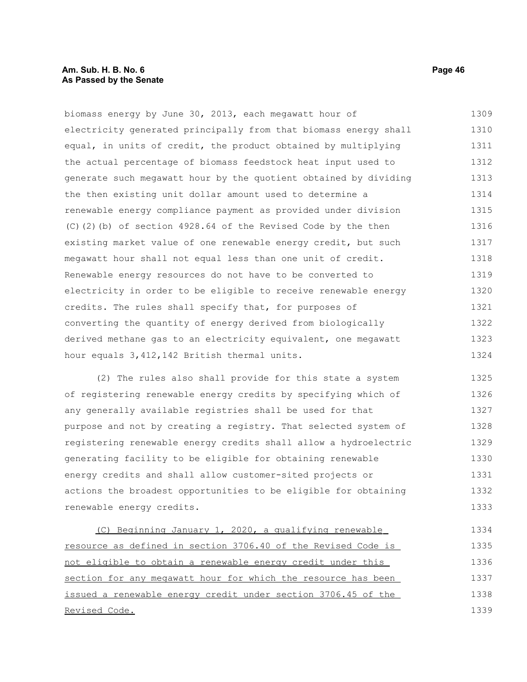### **Am. Sub. H. B. No. 6 Page 46 As Passed by the Senate**

biomass energy by June 30, 2013, each megawatt hour of electricity generated principally from that biomass energy shall equal, in units of credit, the product obtained by multiplying the actual percentage of biomass feedstock heat input used to generate such megawatt hour by the quotient obtained by dividing the then existing unit dollar amount used to determine a renewable energy compliance payment as provided under division (C)(2)(b) of section 4928.64 of the Revised Code by the then existing market value of one renewable energy credit, but such megawatt hour shall not equal less than one unit of credit. Renewable energy resources do not have to be converted to electricity in order to be eligible to receive renewable energy credits. The rules shall specify that, for purposes of converting the quantity of energy derived from biologically derived methane gas to an electricity equivalent, one megawatt hour equals 3,412,142 British thermal units. 1309 1310 1311 1312 1313 1314 1315 1316 1317 1318 1319 1320 1321 1322 1323 1324

(2) The rules also shall provide for this state a system of registering renewable energy credits by specifying which of any generally available registries shall be used for that purpose and not by creating a registry. That selected system of registering renewable energy credits shall allow a hydroelectric generating facility to be eligible for obtaining renewable energy credits and shall allow customer-sited projects or actions the broadest opportunities to be eligible for obtaining renewable energy credits. 1325 1326 1327 1328 1329 1330 1331 1332 1333

(C) Beginning January 1, 2020, a qualifying renewable resource as defined in section 3706.40 of the Revised Code is not eligible to obtain a renewable energy credit under this section for any megawatt hour for which the resource has been issued a renewable energy credit under section 3706.45 of the Revised Code. 1334 1335 1336 1337 1338 1339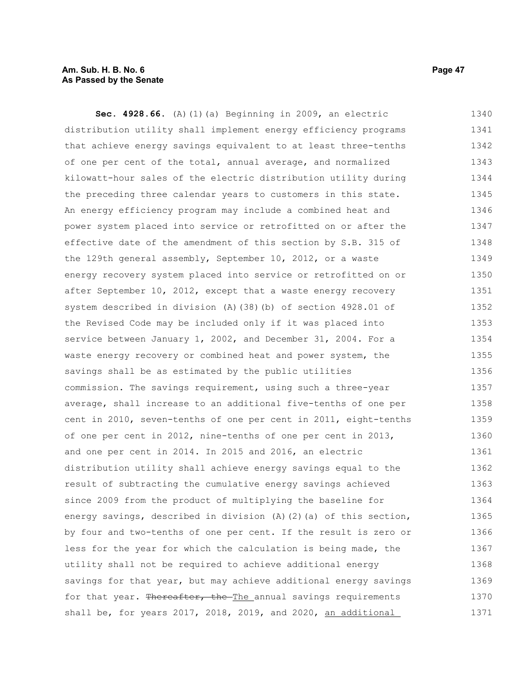#### **Am. Sub. H. B. No. 6 Page 47 As Passed by the Senate**

**Sec. 4928.66.** (A)(1)(a) Beginning in 2009, an electric distribution utility shall implement energy efficiency programs that achieve energy savings equivalent to at least three-tenths of one per cent of the total, annual average, and normalized kilowatt-hour sales of the electric distribution utility during the preceding three calendar years to customers in this state. An energy efficiency program may include a combined heat and power system placed into service or retrofitted on or after the effective date of the amendment of this section by S.B. 315 of the 129th general assembly, September 10, 2012, or a waste energy recovery system placed into service or retrofitted on or after September 10, 2012, except that a waste energy recovery system described in division (A)(38)(b) of section 4928.01 of the Revised Code may be included only if it was placed into service between January 1, 2002, and December 31, 2004. For a waste energy recovery or combined heat and power system, the savings shall be as estimated by the public utilities commission. The savings requirement, using such a three-year average, shall increase to an additional five-tenths of one per cent in 2010, seven-tenths of one per cent in 2011, eight-tenths of one per cent in 2012, nine-tenths of one per cent in 2013, and one per cent in 2014. In 2015 and 2016, an electric distribution utility shall achieve energy savings equal to the result of subtracting the cumulative energy savings achieved since 2009 from the product of multiplying the baseline for energy savings, described in division (A)(2)(a) of this section, by four and two-tenths of one per cent. If the result is zero or less for the year for which the calculation is being made, the utility shall not be required to achieve additional energy savings for that year, but may achieve additional energy savings for that year. Thereafter, the The annual savings requirements shall be, for years 2017, 2018, 2019, and 2020, an additional 1340 1341 1342 1343 1344 1345 1346 1347 1348 1349 1350 1351 1352 1353 1354 1355 1356 1357 1358 1359 1360 1361 1362 1363 1364 1365 1366 1367 1368 1369 1370 1371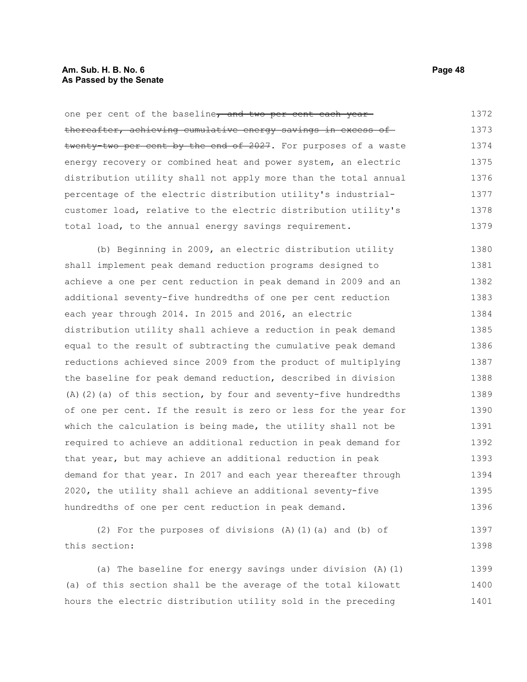### **Am. Sub. H. B. No. 6 Page 48 As Passed by the Senate**

| one per cent of the baseline, and two per cent each year                                                                                                                                                                                                                                                                                                                                                                                                     | 1372                        |
|--------------------------------------------------------------------------------------------------------------------------------------------------------------------------------------------------------------------------------------------------------------------------------------------------------------------------------------------------------------------------------------------------------------------------------------------------------------|-----------------------------|
| thereafter, achieving cumulative energy savings in excess of                                                                                                                                                                                                                                                                                                                                                                                                 | 1373                        |
| twenty-two per cent by the end of 2027. For purposes of a waste                                                                                                                                                                                                                                                                                                                                                                                              | 1374                        |
| energy recovery or combined heat and power system, an electric                                                                                                                                                                                                                                                                                                                                                                                               | 1375                        |
| distribution utility shall not apply more than the total annual                                                                                                                                                                                                                                                                                                                                                                                              | 1376                        |
| percentage of the electric distribution utility's industrial-                                                                                                                                                                                                                                                                                                                                                                                                | 1377                        |
| customer load, relative to the electric distribution utility's                                                                                                                                                                                                                                                                                                                                                                                               | 1378                        |
| total load, to the annual energy savings requirement.                                                                                                                                                                                                                                                                                                                                                                                                        | 1379                        |
| (b) Beginning in 2009, an electric distribution utility                                                                                                                                                                                                                                                                                                                                                                                                      | 1380                        |
| shall implement peak demand reduction programs designed to                                                                                                                                                                                                                                                                                                                                                                                                   | 1381                        |
| achieve a one per cent reduction in peak demand in 2009 and an                                                                                                                                                                                                                                                                                                                                                                                               | 1382                        |
| additional seventy-five hundredths of one per cent reduction                                                                                                                                                                                                                                                                                                                                                                                                 | 1383                        |
| each year through 2014. In 2015 and 2016, an electric                                                                                                                                                                                                                                                                                                                                                                                                        | 1384                        |
| distribution utility shall achieve a reduction in peak demand                                                                                                                                                                                                                                                                                                                                                                                                | 1385                        |
| equal to the result of subtracting the cumulative peak demand                                                                                                                                                                                                                                                                                                                                                                                                | 1386                        |
| reductions achieved since 2009 from the product of multiplying                                                                                                                                                                                                                                                                                                                                                                                               | 1387                        |
| the baseline for peak demand reduction, described in division                                                                                                                                                                                                                                                                                                                                                                                                | 1388                        |
| (A) (2) (a) of this section, by four and seventy-five hundredths                                                                                                                                                                                                                                                                                                                                                                                             | 1389                        |
| of one per cent. If the result is zero or less for the year for                                                                                                                                                                                                                                                                                                                                                                                              | 1390                        |
| which the calculation is being made, the utility shall not be                                                                                                                                                                                                                                                                                                                                                                                                | 1391                        |
| required to achieve an additional reduction in peak demand for                                                                                                                                                                                                                                                                                                                                                                                               | 1392                        |
| that year, but may achieve an additional reduction in peak                                                                                                                                                                                                                                                                                                                                                                                                   | 1393                        |
| demand for that year. In 2017 and each year thereafter through                                                                                                                                                                                                                                                                                                                                                                                               | 1394                        |
| 2020, the utility shall achieve an additional seventy-five                                                                                                                                                                                                                                                                                                                                                                                                   | 1395                        |
| hundredths of one per cent reduction in peak demand.                                                                                                                                                                                                                                                                                                                                                                                                         | 1396                        |
| $\mathcal{L} = \mathcal{L} \mathcal{L} = \mathcal{L} \mathcal{L} = \mathcal{L} \mathcal{L} = \mathcal{L} \mathcal{L} \mathcal{L} = \mathcal{L} \mathcal{L} \mathcal{L} = \mathcal{L} \mathcal{L} \mathcal{L} \mathcal{L} \mathcal{L} = \mathcal{L} \mathcal{L} \mathcal{L} \mathcal{L} \mathcal{L} \mathcal{L} \mathcal{L} \mathcal{L} \mathcal{L} \mathcal{L} \mathcal{L} \mathcal{L} \mathcal{L} \mathcal{L} \mathcal{L} \mathcal{L} \mathcal{L} \mathcal$ | $\sim$ $\sim$ $\sim$ $\sim$ |

(2) For the purposes of divisions (A)(1)(a) and (b) of this section: 1397 1398

(a) The baseline for energy savings under division (A)(1) (a) of this section shall be the average of the total kilowatt hours the electric distribution utility sold in the preceding 1399 1400 1401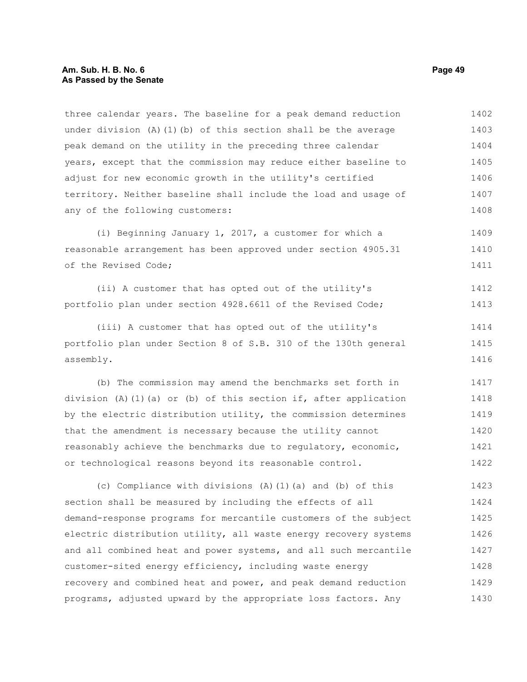three calendar years. The baseline for a peak demand reduction under division (A)(1)(b) of this section shall be the average peak demand on the utility in the preceding three calendar years, except that the commission may reduce either baseline to adjust for new economic growth in the utility's certified territory. Neither baseline shall include the load and usage of any of the following customers: 1402 1403 1404 1405 1406 1407 1408

(i) Beginning January 1, 2017, a customer for which a reasonable arrangement has been approved under section 4905.31 of the Revised Code; 1409 1410 1411

(ii) A customer that has opted out of the utility's portfolio plan under section 4928.6611 of the Revised Code; 1412 1413

(iii) A customer that has opted out of the utility's portfolio plan under Section 8 of S.B. 310 of the 130th general assembly. 1414 1415 1416

(b) The commission may amend the benchmarks set forth in division (A)(1)(a) or (b) of this section if, after application by the electric distribution utility, the commission determines that the amendment is necessary because the utility cannot reasonably achieve the benchmarks due to regulatory, economic, or technological reasons beyond its reasonable control. 1417 1418 1419 1420 1421 1422

(c) Compliance with divisions (A)(1)(a) and (b) of this section shall be measured by including the effects of all demand-response programs for mercantile customers of the subject electric distribution utility, all waste energy recovery systems and all combined heat and power systems, and all such mercantile customer-sited energy efficiency, including waste energy recovery and combined heat and power, and peak demand reduction programs, adjusted upward by the appropriate loss factors. Any 1423 1424 1425 1426 1427 1428 1429 1430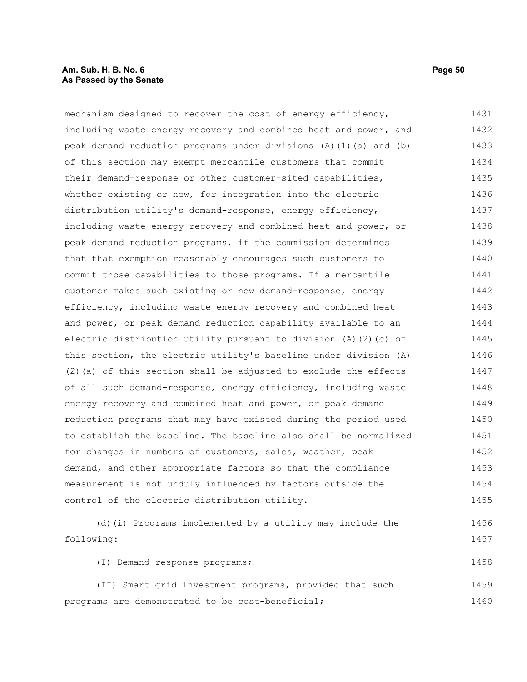### **Am. Sub. H. B. No. 6 Page 50 As Passed by the Senate**

mechanism designed to recover the cost of energy efficiency, including waste energy recovery and combined heat and power, and peak demand reduction programs under divisions (A)(1)(a) and (b) of this section may exempt mercantile customers that commit their demand-response or other customer-sited capabilities, whether existing or new, for integration into the electric distribution utility's demand-response, energy efficiency, including waste energy recovery and combined heat and power, or peak demand reduction programs, if the commission determines that that exemption reasonably encourages such customers to commit those capabilities to those programs. If a mercantile customer makes such existing or new demand-response, energy efficiency, including waste energy recovery and combined heat and power, or peak demand reduction capability available to an electric distribution utility pursuant to division (A)(2)(c) of this section, the electric utility's baseline under division (A)  $(2)$  (a) of this section shall be adjusted to exclude the effects of all such demand-response, energy efficiency, including waste energy recovery and combined heat and power, or peak demand reduction programs that may have existed during the period used to establish the baseline. The baseline also shall be normalized for changes in numbers of customers, sales, weather, peak demand, and other appropriate factors so that the compliance measurement is not unduly influenced by factors outside the control of the electric distribution utility. (d)(i) Programs implemented by a utility may include the following: (I) Demand-response programs; (II) Smart grid investment programs, provided that such 1431 1432 1433 1434 1435 1436 1437 1438 1439 1440 1441 1442 1443 1444 1445 1446 1447 1448 1449 1450 1451 1452 1453 1454 1455 1456 1457 1458 1459

programs are demonstrated to be cost-beneficial; 1460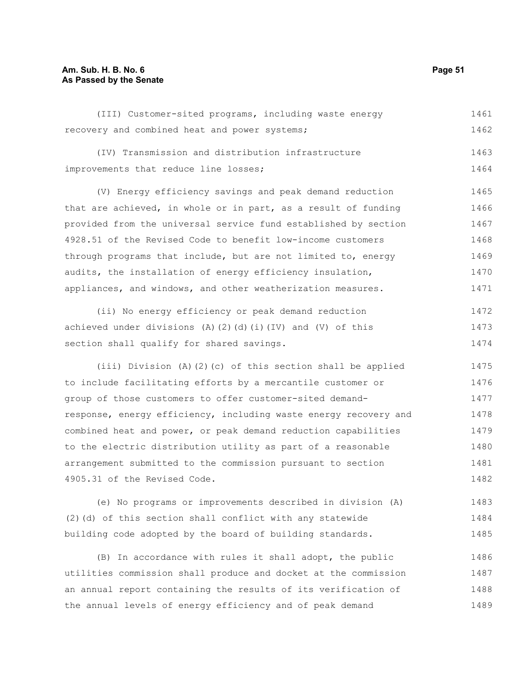### **Am. Sub. H. B. No. 6 Page 51 As Passed by the Senate**

(III) Customer-sited programs, including waste energy recovery and combined heat and power systems; (IV) Transmission and distribution infrastructure improvements that reduce line losses; (V) Energy efficiency savings and peak demand reduction that are achieved, in whole or in part, as a result of funding provided from the universal service fund established by section 4928.51 of the Revised Code to benefit low-income customers through programs that include, but are not limited to, energy audits, the installation of energy efficiency insulation, appliances, and windows, and other weatherization measures. (ii) No energy efficiency or peak demand reduction achieved under divisions (A)(2)(d)(i)(IV) and (V) of this section shall qualify for shared savings. (iii) Division (A)(2)(c) of this section shall be applied to include facilitating efforts by a mercantile customer or group of those customers to offer customer-sited demandresponse, energy efficiency, including waste energy recovery and combined heat and power, or peak demand reduction capabilities 1461 1462 1463 1464 1465 1466 1467 1468 1469 1470 1471 1472 1473 1474 1475 1476 1477 1478 1479

arrangement submitted to the commission pursuant to section 4905.31 of the Revised Code. (e) No programs or improvements described in division (A) 1481 1482 1483

to the electric distribution utility as part of a reasonable

(2)(d) of this section shall conflict with any statewide building code adopted by the board of building standards. 1484 1485

(B) In accordance with rules it shall adopt, the public utilities commission shall produce and docket at the commission an annual report containing the results of its verification of the annual levels of energy efficiency and of peak demand 1486 1487 1488 1489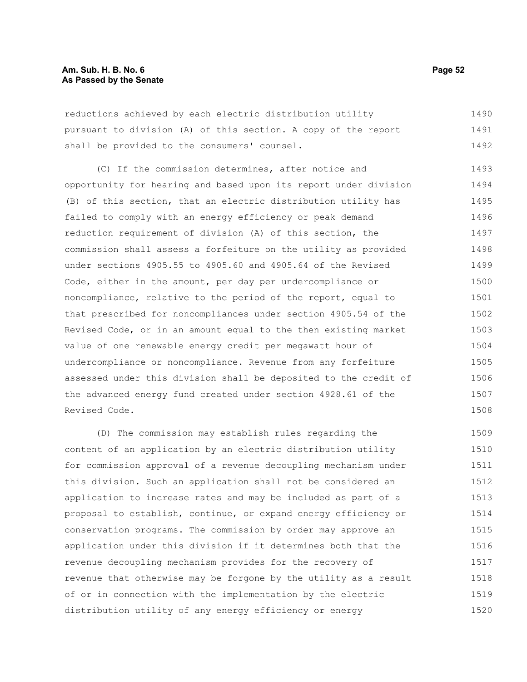reductions achieved by each electric distribution utility pursuant to division (A) of this section. A copy of the report shall be provided to the consumers' counsel. 1490 1491 1492

(C) If the commission determines, after notice and opportunity for hearing and based upon its report under division (B) of this section, that an electric distribution utility has failed to comply with an energy efficiency or peak demand reduction requirement of division (A) of this section, the commission shall assess a forfeiture on the utility as provided under sections 4905.55 to 4905.60 and 4905.64 of the Revised Code, either in the amount, per day per undercompliance or noncompliance, relative to the period of the report, equal to that prescribed for noncompliances under section 4905.54 of the Revised Code, or in an amount equal to the then existing market value of one renewable energy credit per megawatt hour of undercompliance or noncompliance. Revenue from any forfeiture assessed under this division shall be deposited to the credit of the advanced energy fund created under section 4928.61 of the Revised Code. 1493 1494 1495 1496 1497 1498 1499 1500 1501 1502 1503 1504 1505 1506 1507 1508

(D) The commission may establish rules regarding the content of an application by an electric distribution utility for commission approval of a revenue decoupling mechanism under this division. Such an application shall not be considered an application to increase rates and may be included as part of a proposal to establish, continue, or expand energy efficiency or conservation programs. The commission by order may approve an application under this division if it determines both that the revenue decoupling mechanism provides for the recovery of revenue that otherwise may be forgone by the utility as a result of or in connection with the implementation by the electric distribution utility of any energy efficiency or energy 1509 1510 1511 1512 1513 1514 1515 1516 1517 1518 1519 1520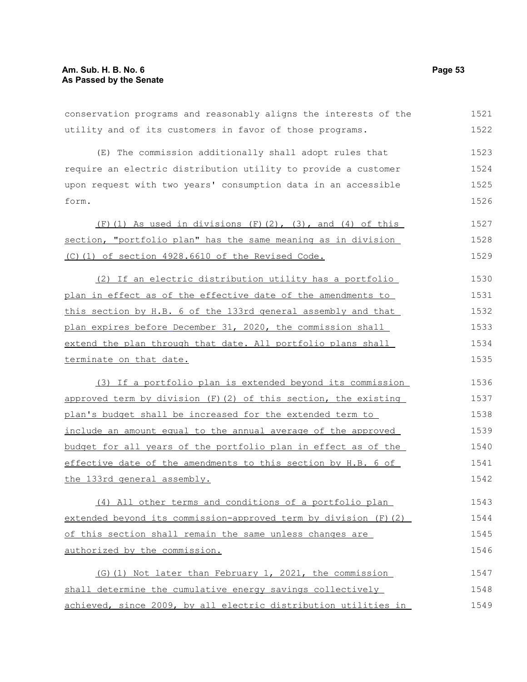| conservation programs and reasonably aligns the interests of the | 1521 |
|------------------------------------------------------------------|------|
| utility and of its customers in favor of those programs.         | 1522 |
| (E) The commission additionally shall adopt rules that           | 1523 |
| require an electric distribution utility to provide a customer   | 1524 |
| upon request with two years' consumption data in an accessible   | 1525 |
| form.                                                            | 1526 |
| $(F)$ (1) As used in divisions $(F)$ (2), (3), and (4) of this   | 1527 |
| section, "portfolio plan" has the same meaning as in division    | 1528 |
| (C)(1) of section 4928.6610 of the Revised Code.                 | 1529 |
| (2) If an electric distribution utility has a portfolio          | 1530 |
| plan in effect as of the effective date of the amendments to     | 1531 |
| this section by H.B. 6 of the 133rd general assembly and that    | 1532 |
| plan expires before December 31, 2020, the commission shall      | 1533 |
| extend the plan through that date. All portfolio plans shall     | 1534 |
| terminate on that date.                                          | 1535 |
| (3) If a portfolio plan is extended beyond its commission        | 1536 |
| approved term by division (F) (2) of this section, the existing  | 1537 |
| plan's budget shall be increased for the extended term to        | 1538 |
| include an amount equal to the annual average of the approved    | 1539 |
| budget for all years of the portfolio plan in effect as of the   | 1540 |
| effective date of the amendments to this section by H.B. 6 of    | 1541 |
| the 133rd general assembly.                                      | 1542 |
| (4) All other terms and conditions of a portfolio plan           | 1543 |
| extended beyond its commission-approved term by division (F)(2)  | 1544 |
| of this section shall remain the same unless changes are         | 1545 |
| authorized by the commission.                                    | 1546 |
| (G) (1) Not later than February 1, 2021, the commission          | 1547 |
| shall determine the cumulative energy savings collectively       | 1548 |
| achieved, since 2009, by all electric distribution utilities in  | 1549 |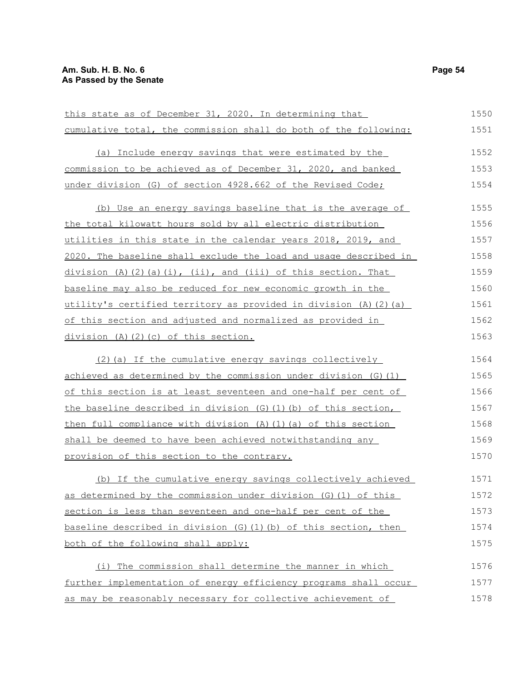| this state as of December 31, 2020. In determining that           | 1550 |
|-------------------------------------------------------------------|------|
| cumulative total, the commission shall do both of the following:  | 1551 |
| (a) Include energy savings that were estimated by the             | 1552 |
| commission to be achieved as of December 31, 2020, and banked     | 1553 |
| under division (G) of section 4928.662 of the Revised Code;       | 1554 |
| (b) Use an energy savings baseline that is the average of         | 1555 |
| the total kilowatt hours sold by all electric distribution        | 1556 |
| utilities in this state in the calendar years 2018, 2019, and     | 1557 |
| 2020. The baseline shall exclude the load and usage described in  | 1558 |
| $division (A) (2) (a) (i), (ii), and (iii) of this section. That$ | 1559 |
| baseline may also be reduced for new economic growth in the       | 1560 |
| utility's certified territory as provided in division (A)(2)(a)   | 1561 |
| of this section and adjusted and normalized as provided in        | 1562 |
| division $(A)$ $(2)$ $(c)$ of this section.                       | 1563 |
| (2) (a) If the cumulative energy savings collectively             | 1564 |
| achieved as determined by the commission under division (G) (1)   | 1565 |
| of this section is at least seventeen and one-half per cent of    | 1566 |
| the baseline described in division (G) (1) (b) of this section,   | 1567 |
| then full compliance with division (A) (1) (a) of this section    | 1568 |
| shall be deemed to have been achieved notwithstanding any         | 1569 |
| provision of this section to the contrary.                        | 1570 |
| (b) If the cumulative energy savings collectively achieved        | 1571 |
| as determined by the commission under division (G) (1) of this    | 1572 |
| section is less than seventeen and one-half per cent of the       | 1573 |
| baseline described in division (G) (1) (b) of this section, then  | 1574 |
| both of the following shall apply:                                | 1575 |
| (i) The commission shall determine the manner in which            | 1576 |
| further implementation of energy efficiency programs shall occur  | 1577 |
| as may be reasonably necessary for collective achievement of      | 1578 |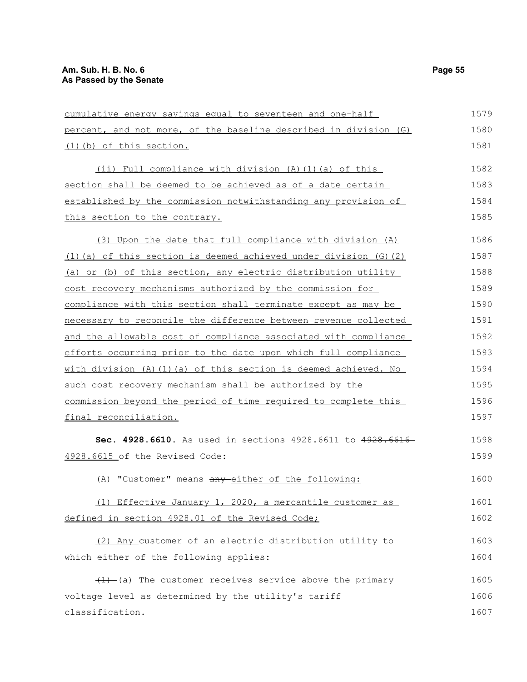| cumulative energy savings equal to seventeen and one-half         | 1579 |
|-------------------------------------------------------------------|------|
| percent, and not more, of the baseline described in division (G)  | 1580 |
| (1) (b) of this section.                                          | 1581 |
| (ii) Full compliance with division $(A)$ $(1)$ $(a)$ of this      | 1582 |
| section shall be deemed to be achieved as of a date certain       | 1583 |
| established by the commission notwithstanding any provision of    | 1584 |
| this section to the contrary.                                     | 1585 |
| (3) Upon the date that full compliance with division (A)          | 1586 |
| (1) (a) of this section is deemed achieved under division (G) (2) | 1587 |
| (a) or (b) of this section, any electric distribution utility     | 1588 |
| cost recovery mechanisms authorized by the commission for         | 1589 |
| compliance with this section shall terminate except as may be     | 1590 |
| necessary to reconcile the difference between revenue collected   | 1591 |
| and the allowable cost of compliance associated with compliance   | 1592 |
| efforts occurring prior to the date upon which full compliance    | 1593 |
| with division (A) (1) (a) of this section is deemed achieved. No  | 1594 |
| such cost recovery mechanism shall be authorized by the           | 1595 |
| commission beyond the period of time required to complete this    | 1596 |
| final reconciliation.                                             | 1597 |
| Sec. 4928.6610. As used in sections 4928.6611 to 4928.661         | 1598 |
| 4928.6615 of the Revised Code:                                    | 1599 |
| (A) "Customer" means any either of the following:                 | 1600 |
| (1) Effective January 1, 2020, a mercantile customer as           | 1601 |
| defined in section 4928.01 of the Revised Code;                   | 1602 |
| (2) Any customer of an electric distribution utility to           | 1603 |
| which either of the following applies:                            | 1604 |
| $(1)$ (a) The customer receives service above the primary         | 1605 |
| voltage level as determined by the utility's tariff               | 1606 |
| classification.                                                   | 1607 |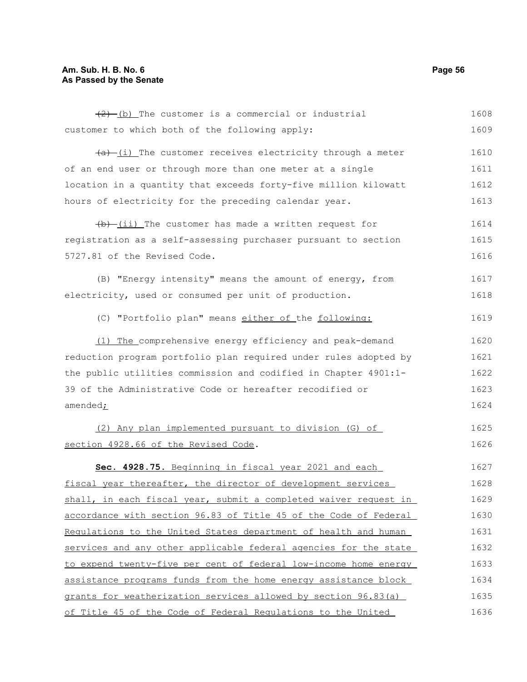# **Am. Sub. H. B. No. 6 Page 56 As Passed by the Senate**

| $(2)$ (b) The customer is a commercial or industrial                | 1608 |
|---------------------------------------------------------------------|------|
| customer to which both of the following apply:                      | 1609 |
| $\frac{a}{b}$ (i) The customer receives electricity through a meter | 1610 |
| of an end user or through more than one meter at a single           | 1611 |
| location in a quantity that exceeds forty-five million kilowatt     | 1612 |
| hours of electricity for the preceding calendar year.               | 1613 |
| $\frac{1}{b}$ (ii) The customer has made a written request for      | 1614 |
| registration as a self-assessing purchaser pursuant to section      | 1615 |
| 5727.81 of the Revised Code.                                        | 1616 |
| (B) "Energy intensity" means the amount of energy, from             | 1617 |
| electricity, used or consumed per unit of production.               | 1618 |
| (C) "Portfolio plan" means either of the following:                 | 1619 |
| (1) The comprehensive energy efficiency and peak-demand             | 1620 |
| reduction program portfolio plan required under rules adopted by    | 1621 |
| the public utilities commission and codified in Chapter 4901:1-     | 1622 |
| 39 of the Administrative Code or hereafter recodified or            | 1623 |
| amended;                                                            | 1624 |
| (2) Any plan implemented pursuant to division (G) of                | 1625 |
| section 4928.66 of the Revised Code.                                | 1626 |
| Sec. 4928.75. Beginning in fiscal year 2021 and each                | 1627 |
| fiscal year thereafter, the director of development services        | 1628 |
| shall, in each fiscal year, submit a completed waiver request in    | 1629 |
| accordance with section 96.83 of Title 45 of the Code of Federal    | 1630 |
| Requlations to the United States department of health and human     | 1631 |
| services and any other applicable federal agencies for the state    | 1632 |
| to expend twenty-five per cent of federal low-income home energy    | 1633 |
| assistance programs funds from the home energy assistance block     | 1634 |
| grants for weatherization services allowed by section 96.83(a)      | 1635 |
| of Title 45 of the Code of Federal Regulations to the United        | 1636 |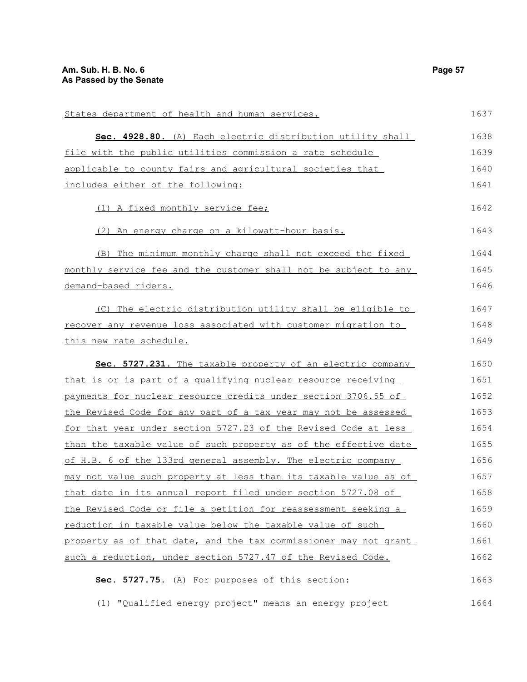| States department of health and human services.                  | 1637 |
|------------------------------------------------------------------|------|
| Sec. 4928.80. (A) Each electric distribution utility shall       | 1638 |
| file with the public utilities commission a rate schedule        | 1639 |
| applicable to county fairs and agricultural societies that       | 1640 |
| includes either of the following:                                | 1641 |
| (1) A fixed monthly service fee;                                 | 1642 |
| (2) An energy charge on a kilowatt-hour basis.                   | 1643 |
| (B) The minimum monthly charge shall not exceed the fixed        | 1644 |
| monthly service fee and the customer shall not be subject to any | 1645 |
| demand-based riders.                                             | 1646 |
| (C) The electric distribution utility shall be eligible to       | 1647 |
| recover any revenue loss associated with customer migration to   | 1648 |
| this new rate schedule.                                          | 1649 |
| Sec. 5727.231. The taxable property of an electric company       | 1650 |
| that is or is part of a qualifying nuclear resource receiving    | 1651 |
| payments for nuclear resource credits under section 3706.55 of   | 1652 |
| the Revised Code for any part of a tax year may not be assessed  | 1653 |
| for that year under section 5727.23 of the Revised Code at less  | 1654 |
| than the taxable value of such property as of the effective date | 1655 |
| of H.B. 6 of the 133rd general assembly. The electric company    | 1656 |
| may not value such property at less than its taxable value as of | 1657 |
| that date in its annual report filed under section 5727.08 of    | 1658 |
| the Revised Code or file a petition for reassessment seeking a   | 1659 |
| reduction in taxable value below the taxable value of such       | 1660 |
| property as of that date, and the tax commissioner may not grant | 1661 |
| such a reduction, under section 5727.47 of the Revised Code.     | 1662 |
| Sec. 5727.75. (A) For purposes of this section:                  | 1663 |
| (1) "Qualified energy project" means an energy project           | 1664 |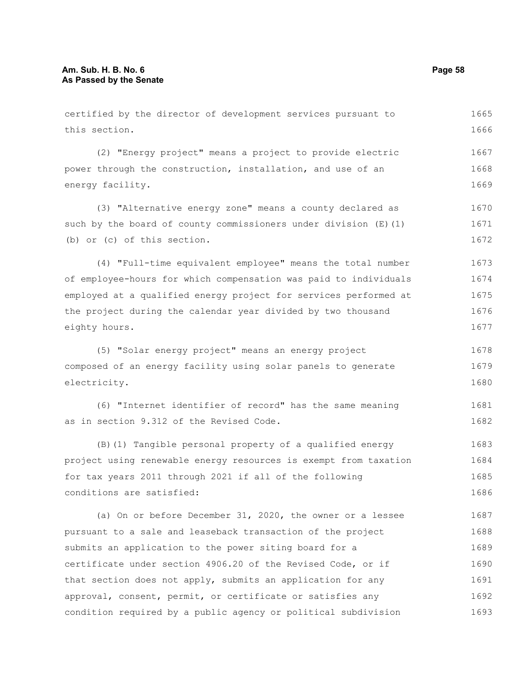this section.

(2) "Energy project" means a project to provide electric power through the construction, installation, and use of an energy facility. (3) "Alternative energy zone" means a county declared as such by the board of county commissioners under division  $(E)$  (1) (b) or (c) of this section.

(4) "Full-time equivalent employee" means the total number of employee-hours for which compensation was paid to individuals employed at a qualified energy project for services performed at the project during the calendar year divided by two thousand eighty hours. 1673 1674 1675 1676 1677

certified by the director of development services pursuant to

(5) "Solar energy project" means an energy project composed of an energy facility using solar panels to generate electricity. 1678 1679 1680

(6) "Internet identifier of record" has the same meaning as in section 9.312 of the Revised Code. 1681 1682

(B)(1) Tangible personal property of a qualified energy project using renewable energy resources is exempt from taxation for tax years 2011 through 2021 if all of the following conditions are satisfied: 1683 1684 1685 1686

(a) On or before December 31, 2020, the owner or a lessee pursuant to a sale and leaseback transaction of the project submits an application to the power siting board for a certificate under section 4906.20 of the Revised Code, or if that section does not apply, submits an application for any approval, consent, permit, or certificate or satisfies any condition required by a public agency or political subdivision 1687 1688 1689 1690 1691 1692 1693

1665 1666

1667 1668 1669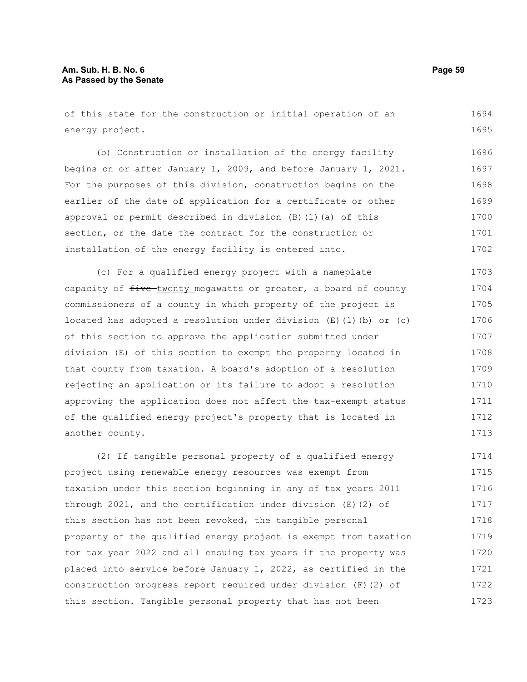of this state for the construction or initial operation of an energy project. 1694 1695

(b) Construction or installation of the energy facility begins on or after January 1, 2009, and before January 1, 2021. For the purposes of this division, construction begins on the earlier of the date of application for a certificate or other approval or permit described in division (B)(1)(a) of this section, or the date the contract for the construction or installation of the energy facility is entered into. 1696 1697 1698 1699 1700 1701 1702

(c) For a qualified energy project with a nameplate capacity of  $f$ ive-twenty megawatts or greater, a board of county commissioners of a county in which property of the project is located has adopted a resolution under division  $(E)$  (1)(b) or (c) of this section to approve the application submitted under division (E) of this section to exempt the property located in that county from taxation. A board's adoption of a resolution rejecting an application or its failure to adopt a resolution approving the application does not affect the tax-exempt status of the qualified energy project's property that is located in another county. 1703 1704 1705 1706 1707 1708 1709 1710 1711 1712 1713

(2) If tangible personal property of a qualified energy project using renewable energy resources was exempt from taxation under this section beginning in any of tax years 2011 through 2021, and the certification under division (E)(2) of this section has not been revoked, the tangible personal property of the qualified energy project is exempt from taxation for tax year 2022 and all ensuing tax years if the property was placed into service before January 1, 2022, as certified in the construction progress report required under division (F)(2) of this section. Tangible personal property that has not been 1714 1715 1716 1717 1718 1719 1720 1721 1722 1723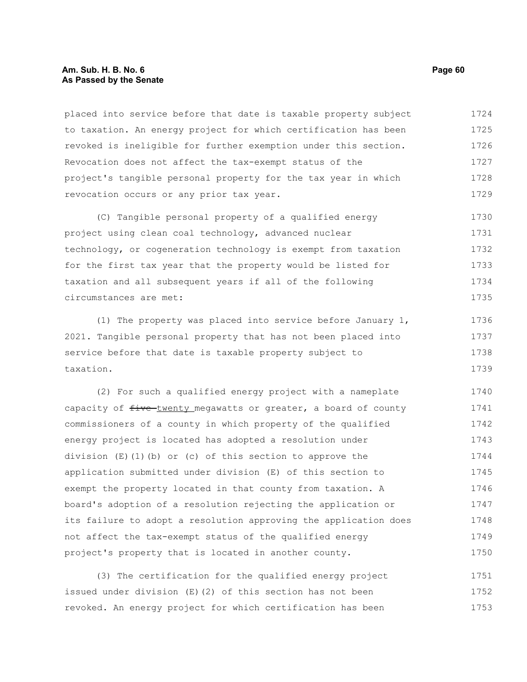#### **Am. Sub. H. B. No. 6 Page 60 As Passed by the Senate**

placed into service before that date is taxable property subject to taxation. An energy project for which certification has been revoked is ineligible for further exemption under this section. Revocation does not affect the tax-exempt status of the project's tangible personal property for the tax year in which revocation occurs or any prior tax year. 1724 1725 1726 1727 1728 1729

(C) Tangible personal property of a qualified energy project using clean coal technology, advanced nuclear technology, or cogeneration technology is exempt from taxation for the first tax year that the property would be listed for taxation and all subsequent years if all of the following circumstances are met: 1730 1731 1732 1733 1734 1735

(1) The property was placed into service before January 1, 2021. Tangible personal property that has not been placed into service before that date is taxable property subject to taxation. 1736 1737 1738 1739

(2) For such a qualified energy project with a nameplate capacity of  $f$ ive-twenty megawatts or greater, a board of county commissioners of a county in which property of the qualified energy project is located has adopted a resolution under division  $(E)(1)(b)$  or (c) of this section to approve the application submitted under division (E) of this section to exempt the property located in that county from taxation. A board's adoption of a resolution rejecting the application or its failure to adopt a resolution approving the application does not affect the tax-exempt status of the qualified energy project's property that is located in another county. 1740 1741 1742 1743 1744 1745 1746 1747 1748 1749 1750

(3) The certification for the qualified energy project issued under division (E)(2) of this section has not been revoked. An energy project for which certification has been 1751 1752 1753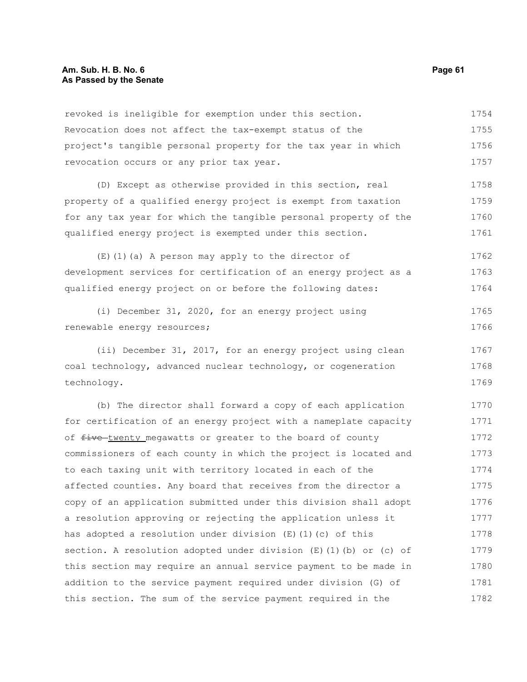revoked is ineligible for exemption under this section. Revocation does not affect the tax-exempt status of the project's tangible personal property for the tax year in which revocation occurs or any prior tax year. 1754 1755 1756 1757

(D) Except as otherwise provided in this section, real property of a qualified energy project is exempt from taxation for any tax year for which the tangible personal property of the qualified energy project is exempted under this section. 1758 1759 1760 1761

(E)(1)(a) A person may apply to the director of development services for certification of an energy project as a qualified energy project on or before the following dates: 1762 1763 1764

(i) December 31, 2020, for an energy project using renewable energy resources; 1765 1766

(ii) December 31, 2017, for an energy project using clean coal technology, advanced nuclear technology, or cogeneration technology. 1767 1768 1769

(b) The director shall forward a copy of each application for certification of an energy project with a nameplate capacity of five-twenty megawatts or greater to the board of county commissioners of each county in which the project is located and to each taxing unit with territory located in each of the affected counties. Any board that receives from the director a copy of an application submitted under this division shall adopt a resolution approving or rejecting the application unless it has adopted a resolution under division  $(E)$  (1)(c) of this section. A resolution adopted under division  $(E)$  (1)(b) or (c) of this section may require an annual service payment to be made in addition to the service payment required under division (G) of this section. The sum of the service payment required in the 1770 1771 1772 1773 1774 1775 1776 1777 1778 1779 1780 1781 1782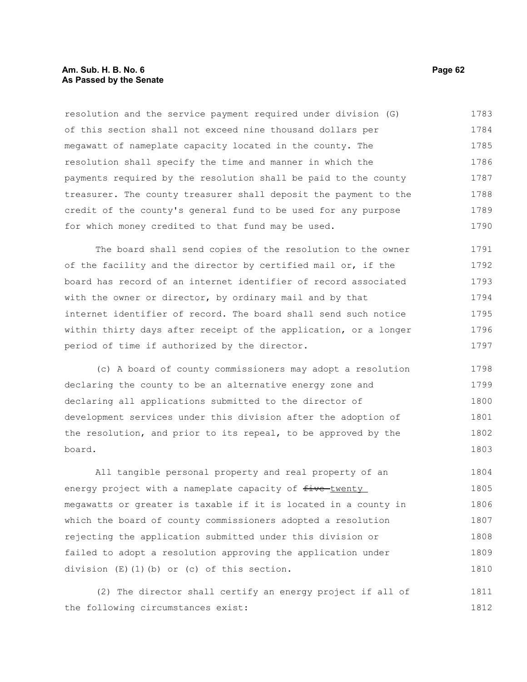#### **Am. Sub. H. B. No. 6 Page 62 As Passed by the Senate**

resolution and the service payment required under division (G) of this section shall not exceed nine thousand dollars per megawatt of nameplate capacity located in the county. The resolution shall specify the time and manner in which the payments required by the resolution shall be paid to the county treasurer. The county treasurer shall deposit the payment to the credit of the county's general fund to be used for any purpose for which money credited to that fund may be used. 1783 1784 1785 1786 1787 1788 1789 1790

The board shall send copies of the resolution to the owner of the facility and the director by certified mail or, if the board has record of an internet identifier of record associated with the owner or director, by ordinary mail and by that internet identifier of record. The board shall send such notice within thirty days after receipt of the application, or a longer period of time if authorized by the director. 1791 1792 1793 1794 1795 1796 1797

(c) A board of county commissioners may adopt a resolution declaring the county to be an alternative energy zone and declaring all applications submitted to the director of development services under this division after the adoption of the resolution, and prior to its repeal, to be approved by the board. 1798 1799 1800 1801 1802 1803

All tangible personal property and real property of an energy project with a nameplate capacity of five-twenty megawatts or greater is taxable if it is located in a county in which the board of county commissioners adopted a resolution rejecting the application submitted under this division or failed to adopt a resolution approving the application under division (E)(1)(b) or (c) of this section. 1804 1805 1806 1807 1808 1809 1810

(2) The director shall certify an energy project if all of the following circumstances exist: 1811 1812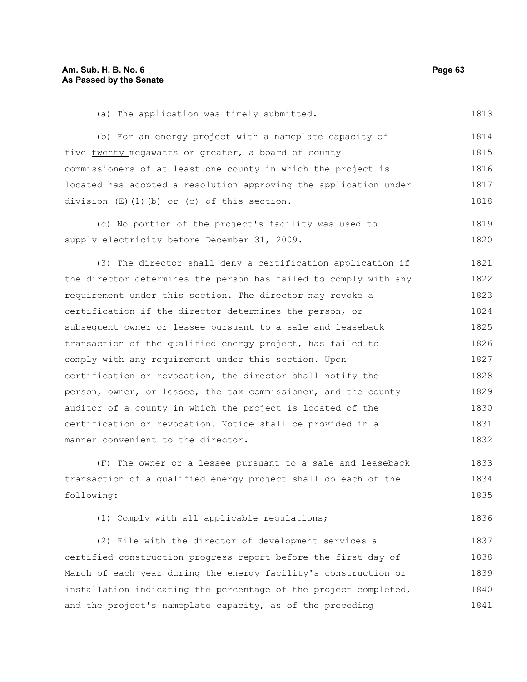(a) The application was timely submitted. 1813

(b) For an energy project with a nameplate capacity of five twenty megawatts or greater, a board of county commissioners of at least one county in which the project is located has adopted a resolution approving the application under division (E)(1)(b) or (c) of this section. 1814 1815 1816 1817 1818

(c) No portion of the project's facility was used to supply electricity before December 31, 2009. 1819 1820

(3) The director shall deny a certification application if the director determines the person has failed to comply with any requirement under this section. The director may revoke a certification if the director determines the person, or subsequent owner or lessee pursuant to a sale and leaseback transaction of the qualified energy project, has failed to comply with any requirement under this section. Upon certification or revocation, the director shall notify the person, owner, or lessee, the tax commissioner, and the county auditor of a county in which the project is located of the certification or revocation. Notice shall be provided in a manner convenient to the director. 1821 1822 1823 1824 1825 1826 1827 1828 1829 1830 1831 1832

(F) The owner or a lessee pursuant to a sale and leaseback transaction of a qualified energy project shall do each of the following: 1833 1834 1835

(1) Comply with all applicable regulations; 1836

(2) File with the director of development services a certified construction progress report before the first day of March of each year during the energy facility's construction or installation indicating the percentage of the project completed, and the project's nameplate capacity, as of the preceding 1837 1838 1839 1840 1841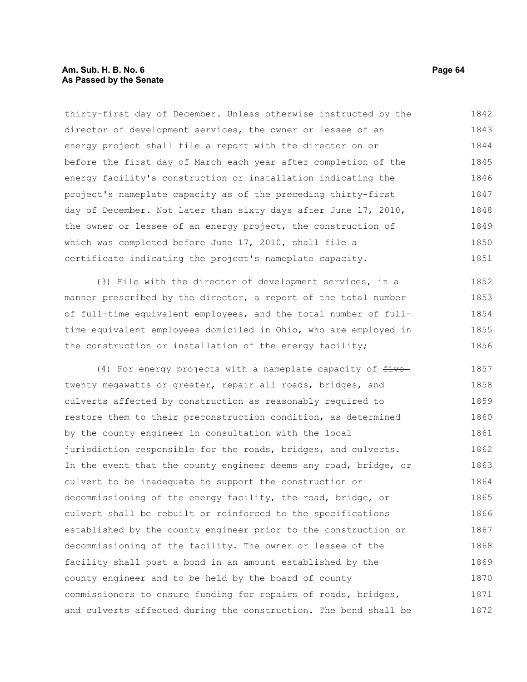#### **Am. Sub. H. B. No. 6 Page 64 As Passed by the Senate**

thirty-first day of December. Unless otherwise instructed by the director of development services, the owner or lessee of an energy project shall file a report with the director on or before the first day of March each year after completion of the energy facility's construction or installation indicating the project's nameplate capacity as of the preceding thirty-first day of December. Not later than sixty days after June 17, 2010, the owner or lessee of an energy project, the construction of which was completed before June 17, 2010, shall file a certificate indicating the project's nameplate capacity. 1842 1843 1844 1845 1846 1847 1848 1849 1850 1851

(3) File with the director of development services, in a manner prescribed by the director, a report of the total number of full-time equivalent employees, and the total number of fulltime equivalent employees domiciled in Ohio, who are employed in the construction or installation of the energy facility; 1852 1853 1854 1855 1856

(4) For energy projects with a nameplate capacity of  $f$ ive twenty megawatts or greater, repair all roads, bridges, and culverts affected by construction as reasonably required to restore them to their preconstruction condition, as determined by the county engineer in consultation with the local jurisdiction responsible for the roads, bridges, and culverts. In the event that the county engineer deems any road, bridge, or culvert to be inadequate to support the construction or decommissioning of the energy facility, the road, bridge, or culvert shall be rebuilt or reinforced to the specifications established by the county engineer prior to the construction or decommissioning of the facility. The owner or lessee of the facility shall post a bond in an amount established by the county engineer and to be held by the board of county commissioners to ensure funding for repairs of roads, bridges, and culverts affected during the construction. The bond shall be 1857 1858 1859 1860 1861 1862 1863 1864 1865 1866 1867 1868 1869 1870 1871 1872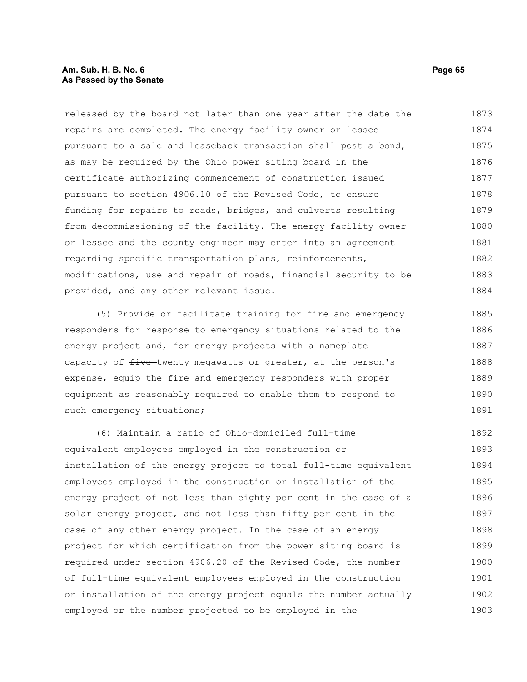### **Am. Sub. H. B. No. 6 Page 65 As Passed by the Senate**

released by the board not later than one year after the date the repairs are completed. The energy facility owner or lessee pursuant to a sale and leaseback transaction shall post a bond, as may be required by the Ohio power siting board in the certificate authorizing commencement of construction issued pursuant to section 4906.10 of the Revised Code, to ensure funding for repairs to roads, bridges, and culverts resulting from decommissioning of the facility. The energy facility owner or lessee and the county engineer may enter into an agreement regarding specific transportation plans, reinforcements, modifications, use and repair of roads, financial security to be provided, and any other relevant issue. 1873 1874 1875 1876 1877 1878 1879 1880 1881 1882 1883 1884

(5) Provide or facilitate training for fire and emergency responders for response to emergency situations related to the energy project and, for energy projects with a nameplate capacity of  $f$ ive twenty megawatts or greater, at the person's expense, equip the fire and emergency responders with proper equipment as reasonably required to enable them to respond to such emergency situations; 1885 1886 1887 1888 1889 1890 1891

(6) Maintain a ratio of Ohio-domiciled full-time equivalent employees employed in the construction or installation of the energy project to total full-time equivalent employees employed in the construction or installation of the energy project of not less than eighty per cent in the case of a solar energy project, and not less than fifty per cent in the case of any other energy project. In the case of an energy project for which certification from the power siting board is required under section 4906.20 of the Revised Code, the number of full-time equivalent employees employed in the construction or installation of the energy project equals the number actually employed or the number projected to be employed in the 1892 1893 1894 1895 1896 1897 1898 1899 1900 1901 1902 1903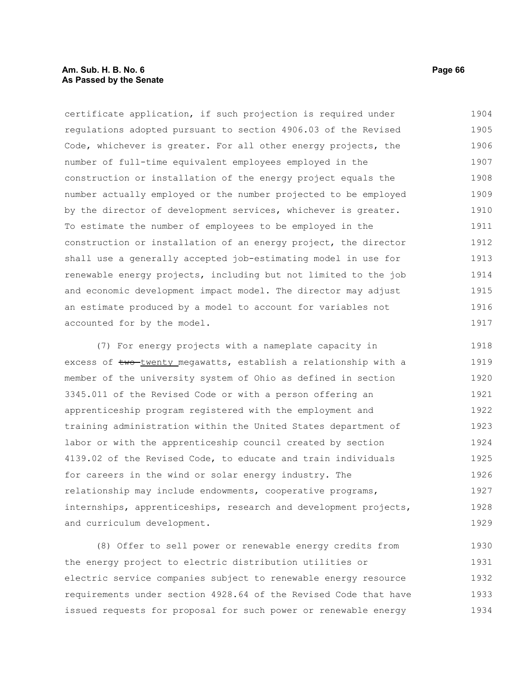### **Am. Sub. H. B. No. 6 Page 66 As Passed by the Senate**

certificate application, if such projection is required under regulations adopted pursuant to section 4906.03 of the Revised Code, whichever is greater. For all other energy projects, the number of full-time equivalent employees employed in the construction or installation of the energy project equals the number actually employed or the number projected to be employed by the director of development services, whichever is greater. To estimate the number of employees to be employed in the construction or installation of an energy project, the director shall use a generally accepted job-estimating model in use for renewable energy projects, including but not limited to the job and economic development impact model. The director may adjust an estimate produced by a model to account for variables not accounted for by the model. 1904 1905 1906 1907 1908 1909 1910 1911 1912 1913 1914 1915 1916 1917

(7) For energy projects with a nameplate capacity in excess of two twenty megawatts, establish a relationship with a member of the university system of Ohio as defined in section 3345.011 of the Revised Code or with a person offering an apprenticeship program registered with the employment and training administration within the United States department of labor or with the apprenticeship council created by section 4139.02 of the Revised Code, to educate and train individuals for careers in the wind or solar energy industry. The relationship may include endowments, cooperative programs, internships, apprenticeships, research and development projects, and curriculum development. 1918 1919 1920 1921 1922 1923 1924 1925 1926 1927 1928 1929

(8) Offer to sell power or renewable energy credits from the energy project to electric distribution utilities or electric service companies subject to renewable energy resource requirements under section 4928.64 of the Revised Code that have issued requests for proposal for such power or renewable energy 1930 1931 1932 1933 1934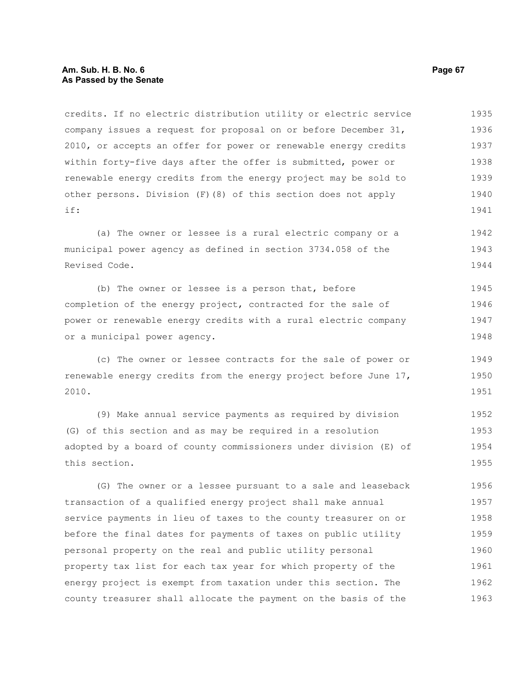credits. If no electric distribution utility or electric service company issues a request for proposal on or before December 31, 2010, or accepts an offer for power or renewable energy credits within forty-five days after the offer is submitted, power or renewable energy credits from the energy project may be sold to other persons. Division (F)(8) of this section does not apply if: 1935 1936 1937 1938 1939 1940 1941

(a) The owner or lessee is a rural electric company or a municipal power agency as defined in section 3734.058 of the Revised Code. 1942 1943 1944

(b) The owner or lessee is a person that, before completion of the energy project, contracted for the sale of power or renewable energy credits with a rural electric company or a municipal power agency. 1945 1946 1947 1948

(c) The owner or lessee contracts for the sale of power or renewable energy credits from the energy project before June 17, 2010. 1949 1950 1951

(9) Make annual service payments as required by division (G) of this section and as may be required in a resolution adopted by a board of county commissioners under division (E) of this section. 1952 1953 1954 1955

(G) The owner or a lessee pursuant to a sale and leaseback transaction of a qualified energy project shall make annual service payments in lieu of taxes to the county treasurer on or before the final dates for payments of taxes on public utility personal property on the real and public utility personal property tax list for each tax year for which property of the energy project is exempt from taxation under this section. The county treasurer shall allocate the payment on the basis of the 1956 1957 1958 1959 1960 1961 1962 1963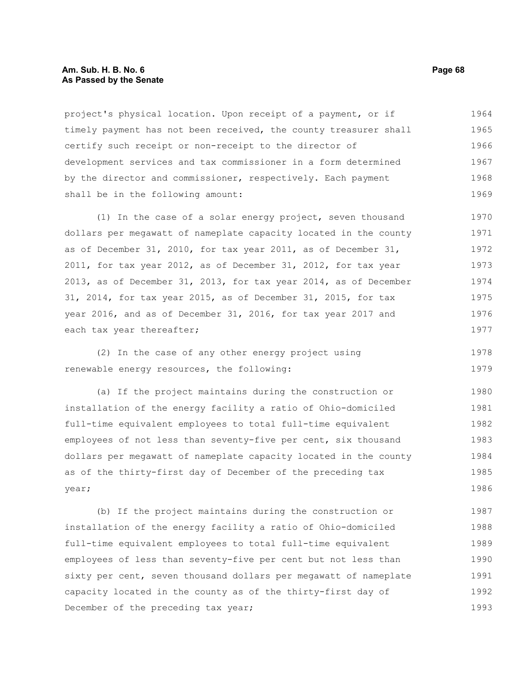#### **Am. Sub. H. B. No. 6 Page 68 As Passed by the Senate**

project's physical location. Upon receipt of a payment, or if timely payment has not been received, the county treasurer shall certify such receipt or non-receipt to the director of development services and tax commissioner in a form determined by the director and commissioner, respectively. Each payment shall be in the following amount: 1964 1965 1966 1967 1968 1969

(1) In the case of a solar energy project, seven thousand dollars per megawatt of nameplate capacity located in the county as of December 31, 2010, for tax year 2011, as of December 31, 2011, for tax year 2012, as of December 31, 2012, for tax year 2013, as of December 31, 2013, for tax year 2014, as of December 31, 2014, for tax year 2015, as of December 31, 2015, for tax year 2016, and as of December 31, 2016, for tax year 2017 and each tax year thereafter; 1970 1971 1972 1973 1974 1975 1976 1977

(2) In the case of any other energy project using renewable energy resources, the following: 1978 1979

(a) If the project maintains during the construction or installation of the energy facility a ratio of Ohio-domiciled full-time equivalent employees to total full-time equivalent employees of not less than seventy-five per cent, six thousand dollars per megawatt of nameplate capacity located in the county as of the thirty-first day of December of the preceding tax year; 1980 1981 1982 1983 1984 1985 1986

(b) If the project maintains during the construction or installation of the energy facility a ratio of Ohio-domiciled full-time equivalent employees to total full-time equivalent employees of less than seventy-five per cent but not less than sixty per cent, seven thousand dollars per megawatt of nameplate capacity located in the county as of the thirty-first day of December of the preceding tax year; 1987 1988 1989 1990 1991 1992 1993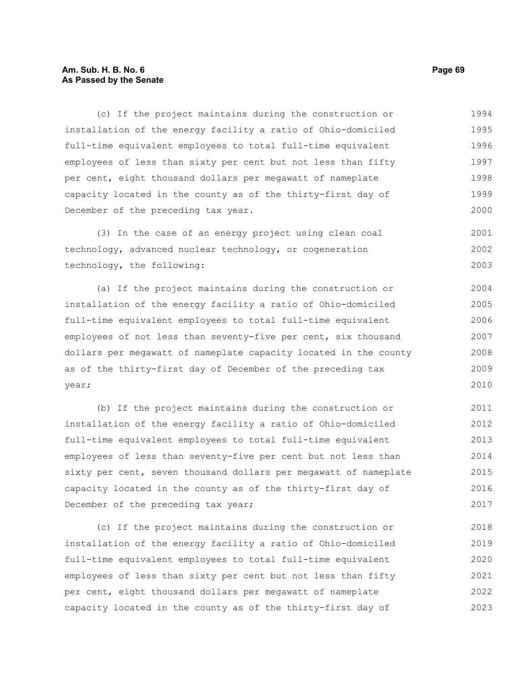### **Am. Sub. H. B. No. 6 Page 69 As Passed by the Senate**

(c) If the project maintains during the construction or installation of the energy facility a ratio of Ohio-domiciled full-time equivalent employees to total full-time equivalent employees of less than sixty per cent but not less than fifty per cent, eight thousand dollars per megawatt of nameplate capacity located in the county as of the thirty-first day of December of the preceding tax year. 1994 1995 1996 1997 1998 1999 2000

(3) In the case of an energy project using clean coal technology, advanced nuclear technology, or cogeneration technology, the following: 2001 2002 2003

(a) If the project maintains during the construction or installation of the energy facility a ratio of Ohio-domiciled full-time equivalent employees to total full-time equivalent employees of not less than seventy-five per cent, six thousand dollars per megawatt of nameplate capacity located in the county as of the thirty-first day of December of the preceding tax year; 2004 2005 2006 2007 2008 2009 2010

(b) If the project maintains during the construction or installation of the energy facility a ratio of Ohio-domiciled full-time equivalent employees to total full-time equivalent employees of less than seventy-five per cent but not less than sixty per cent, seven thousand dollars per megawatt of nameplate capacity located in the county as of the thirty-first day of December of the preceding tax year; 2011 2012 2013 2014 2015 2016 2017

(c) If the project maintains during the construction or installation of the energy facility a ratio of Ohio-domiciled full-time equivalent employees to total full-time equivalent employees of less than sixty per cent but not less than fifty per cent, eight thousand dollars per megawatt of nameplate capacity located in the county as of the thirty-first day of 2018 2019 2020 2021 2022 2023